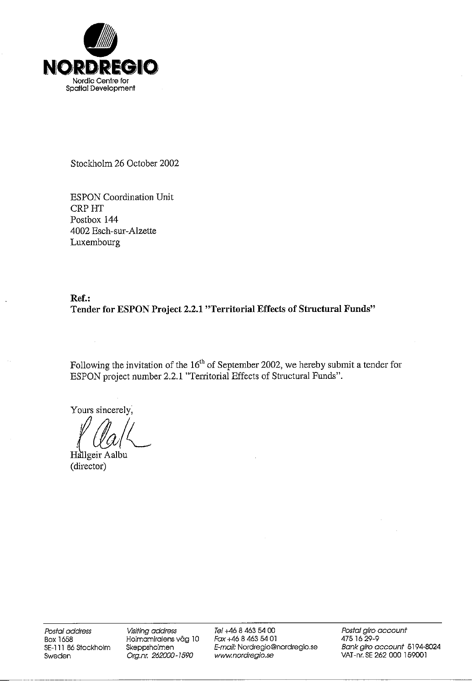

Stockholm 26 October 2002

**ESPON Coordination Unit CRP HT** Postbox 144 4002 Esch-sur-Alzette Luxembourg

### Ref.: Tender for ESPON Project 2.2.1 "Territorial Effects of Structural Funds"

Following the invitation of the  $16<sup>th</sup>$  of September 2002, we hereby submit a tender for ESPON project number 2.2.1 "Territorial Effects of Structural Funds".

Yours sincerely,

Hallgeir Aalbu (director)

Postal address **Box 1658** SE-111 86 Stockholm Sweden

Visiting address Holmamiralens väg 10 Skeppsholmen Org.nr. 262000-1590

Tel +46 8 463 54 00 Fax +46 8 463 54 01 E-mail: Nordregio@nordregio.se www.nordregio.se

Postal giro account 475 16 29-9 Bank giro account 5194-8024 VAT-nr. SE 262 000 159001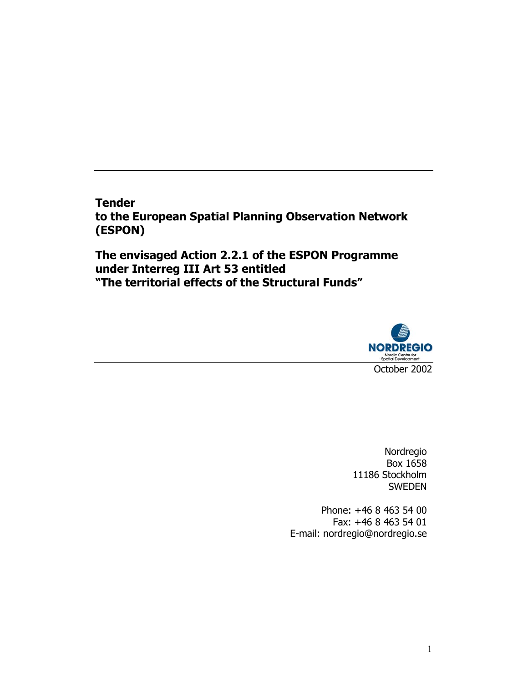**Tender to the European Spatial Planning Observation Network (ESPON)** 

**The envisaged Action 2.2.1 of the ESPON Programme under Interreg III Art 53 entitled "The territorial effects of the Structural Funds"** 



Nordregio Box 1658 11186 Stockholm SWEDEN

Phone: +46 8 463 54 00 Fax: +46 8 463 54 01 E-mail: nordregio@nordregio.se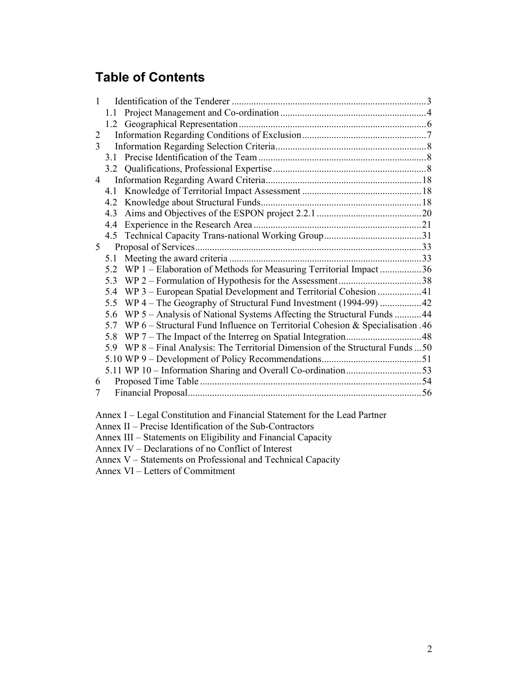# **Table of Contents**

| $\mathbf{1}$   |     |                                                                               |  |
|----------------|-----|-------------------------------------------------------------------------------|--|
|                | 1.1 |                                                                               |  |
|                |     |                                                                               |  |
| 2              |     |                                                                               |  |
| 3              |     |                                                                               |  |
|                | 3.1 |                                                                               |  |
|                |     |                                                                               |  |
| 4              |     |                                                                               |  |
|                | 4.1 |                                                                               |  |
|                | 4.2 |                                                                               |  |
|                | 4.3 |                                                                               |  |
|                | 4.4 |                                                                               |  |
|                | 4.5 |                                                                               |  |
| 5 <sup>5</sup> |     |                                                                               |  |
|                | 5.1 |                                                                               |  |
|                | 5.2 | WP 1 – Elaboration of Methods for Measuring Territorial Impact36              |  |
|                | 5.3 |                                                                               |  |
|                | 5.4 | WP 3 – European Spatial Development and Territorial Cohesion 41               |  |
|                | 5.5 |                                                                               |  |
|                | 5.6 | WP 5 - Analysis of National Systems Affecting the Structural Funds 44         |  |
|                | 5.7 | WP 6 - Structural Fund Influence on Territorial Cohesion & Specialisation .46 |  |
|                | 5.8 |                                                                               |  |
|                | 5.9 | WP 8 – Final Analysis: The Territorial Dimension of the Structural Funds  50  |  |
|                |     |                                                                               |  |
|                |     |                                                                               |  |
| 6              |     |                                                                               |  |
| 7              |     |                                                                               |  |
|                |     |                                                                               |  |

Annex I – Legal Constitution and Financial Statement for the Lead Partner

Annex II – Precise Identification of the Sub-Contractors

Annex III – Statements on Eligibility and Financial Capacity

Annex IV – Declarations of no Conflict of Interest

Annex V – Statements on Professional and Technical Capacity

Annex VI – Letters of Commitment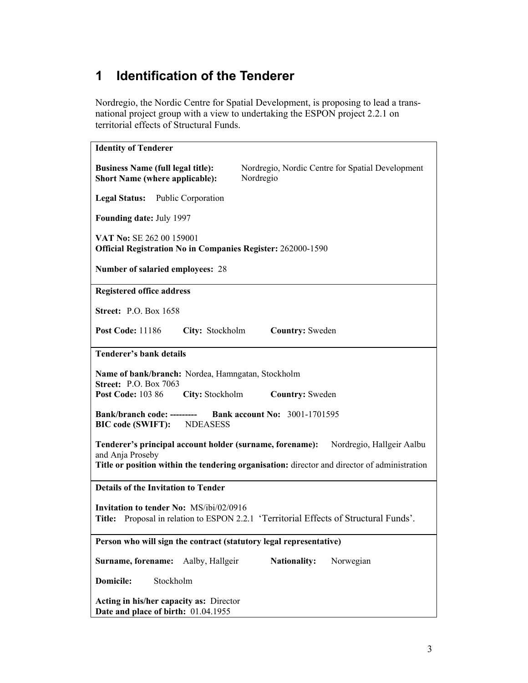# **1 Identification of the Tenderer**

Nordregio, the Nordic Centre for Spatial Development, is proposing to lead a transnational project group with a view to undertaking the ESPON project 2.2.1 on territorial effects of Structural Funds.

| <b>Identity of Tenderer</b>                                                                                                                        |  |  |  |  |  |
|----------------------------------------------------------------------------------------------------------------------------------------------------|--|--|--|--|--|
| <b>Business Name (full legal title):</b><br>Nordregio, Nordic Centre for Spatial Development<br><b>Short Name (where applicable):</b><br>Nordregio |  |  |  |  |  |
| Legal Status: Public Corporation                                                                                                                   |  |  |  |  |  |
| <b>Founding date: July 1997</b>                                                                                                                    |  |  |  |  |  |
| VAT No: SE 262 00 159001<br><b>Official Registration No in Companies Register: 262000-1590</b>                                                     |  |  |  |  |  |
| Number of salaried employees: 28                                                                                                                   |  |  |  |  |  |
| <b>Registered office address</b>                                                                                                                   |  |  |  |  |  |
| <b>Street: P.O. Box 1658</b>                                                                                                                       |  |  |  |  |  |
| City: Stockholm<br><b>Post Code: 11186</b><br><b>Country:</b> Sweden                                                                               |  |  |  |  |  |
| <b>Tenderer's bank details</b>                                                                                                                     |  |  |  |  |  |
| Name of bank/branch: Nordea, Hamngatan, Stockholm<br><b>Street: P.O. Box 7063</b>                                                                  |  |  |  |  |  |
| <b>Post Code: 103 86</b><br>City: Stockholm<br><b>Country:</b> Sweden                                                                              |  |  |  |  |  |
| <b>Bank account No: 3001-1701595</b><br><b>Bank/branch code: ---------</b><br><b>BIC</b> code (SWIFT):<br><b>NDEASESS</b>                          |  |  |  |  |  |
| Tenderer's principal account holder (surname, forename):<br>Nordregio, Hallgeir Aalbu<br>and Anja Proseby                                          |  |  |  |  |  |
| Title or position within the tendering organisation: director and director of administration                                                       |  |  |  |  |  |
| <b>Details of the Invitation to Tender</b>                                                                                                         |  |  |  |  |  |
| <b>Invitation to tender No: MS/ibi/02/0916</b><br>Title: Proposal in relation to ESPON 2.2.1 'Territorial Effects of Structural Funds'.            |  |  |  |  |  |
| Person who will sign the contract (statutory legal representative)                                                                                 |  |  |  |  |  |
| Surname, forename:<br>Aalby, Hallgeir<br><b>Nationality:</b><br>Norwegian                                                                          |  |  |  |  |  |
| <b>Domicile:</b><br>Stockholm                                                                                                                      |  |  |  |  |  |
| Acting in his/her capacity as: Director<br>Date and place of birth: 01.04.1955                                                                     |  |  |  |  |  |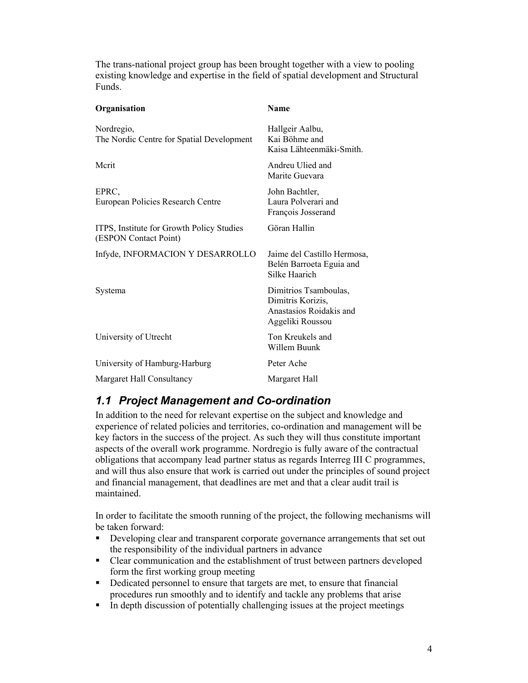The trans-national project group has been brought together with a view to pooling existing knowledge and expertise in the field of spatial development and Structural Funds.

| Organisation                                                       | <b>Name</b>                                                                               |
|--------------------------------------------------------------------|-------------------------------------------------------------------------------------------|
| Nordregio,<br>The Nordic Centre for Spatial Development            | Hallgeir Aalbu,<br>Kai Böhme and<br>Kaisa Lähteenmäki-Smith                               |
| Mcrit                                                              | Andreu Ulied and<br>Marite Guevara                                                        |
| EPRC,<br>European Policies Research Centre                         | John Bachtler,<br>Laura Polverari and<br>François Josserand                               |
| ITPS, Institute for Growth Policy Studies<br>(ESPON Contact Point) | Göran Hallin                                                                              |
| Infyde, INFORMACION Y DESARROLLO                                   | Jaime del Castillo Hermosa,<br>Belén Barroeta Eguia and<br>Silke Haarich                  |
| Systema                                                            | Dimitrios Tsamboulas,<br>Dimitris Korizis,<br>Anastasios Roidakis and<br>Aggeliki Roussou |
| University of Utrecht                                              | Ton Kreukels and<br>Willem Buunk                                                          |
| University of Hamburg-Harburg                                      | Peter Ache                                                                                |
| Margaret Hall Consultancy                                          | Margaret Hall                                                                             |

## *1.1 Project Management and Co-ordination*

In addition to the need for relevant expertise on the subject and knowledge and experience of related policies and territories, co-ordination and management will be key factors in the success of the project. As such they will thus constitute important aspects of the overall work programme. Nordregio is fully aware of the contractual obligations that accompany lead partner status as regards Interreg III C programmes, and will thus also ensure that work is carried out under the principles of sound project and financial management, that deadlines are met and that a clear audit trail is maintained.

In order to facilitate the smooth running of the project, the following mechanisms will be taken forward:

- Developing clear and transparent corporate governance arrangements that set out the responsibility of the individual partners in advance
- Clear communication and the establishment of trust between partners developed form the first working group meeting
- Dedicated personnel to ensure that targets are met, to ensure that financial procedures run smoothly and to identify and tackle any problems that arise
- In depth discussion of potentially challenging issues at the project meetings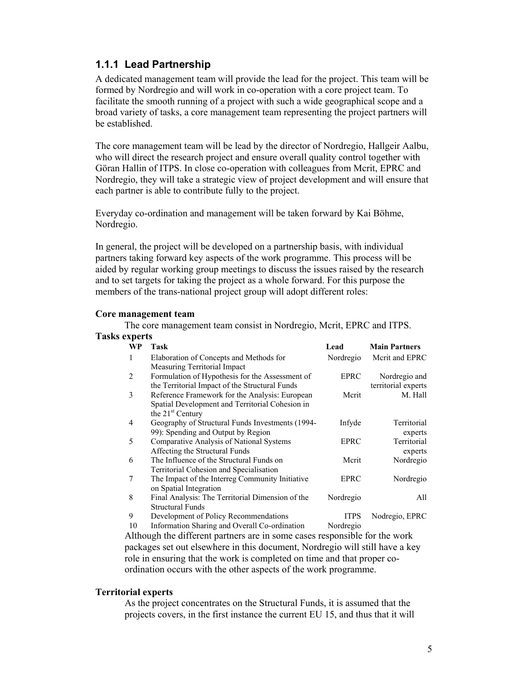### **1.1.1 Lead Partnership**

A dedicated management team will provide the lead for the project. This team will be formed by Nordregio and will work in co-operation with a core project team. To facilitate the smooth running of a project with such a wide geographical scope and a broad variety of tasks, a core management team representing the project partners will be established.

The core management team will be lead by the director of Nordregio, Hallgeir Aalbu, who will direct the research project and ensure overall quality control together with Göran Hallin of ITPS. In close co-operation with colleagues from Mcrit, EPRC and Nordregio, they will take a strategic view of project development and will ensure that each partner is able to contribute fully to the project.

Everyday co-ordination and management will be taken forward by Kai Böhme, Nordregio.

In general, the project will be developed on a partnership basis, with individual partners taking forward key aspects of the work programme. This process will be aided by regular working group meetings to discuss the issues raised by the research and to set targets for taking the project as a whole forward. For this purpose the members of the trans-national project group will adopt different roles:

#### **Core management team**

The core management team consist in Nordregio, Mcrit, EPRC and ITPS. **Tasks experts** 

| ss experts      |           |                                                  |             |                      |
|-----------------|-----------|--------------------------------------------------|-------------|----------------------|
|                 | <b>WP</b> | Task                                             | Lead        | <b>Main Partners</b> |
| 1               |           | Elaboration of Concepts and Methods for          | Nordregio   | Merit and EPRC       |
|                 |           | Measuring Territorial Impact                     |             |                      |
| 2               |           | Formulation of Hypothesis for the Assessment of  | <b>EPRC</b> | Nordregio and        |
|                 |           | the Territorial Impact of the Structural Funds   |             | territorial experts  |
| 3               |           | Reference Framework for the Analysis: European   | Merit       | M. Hall              |
|                 |           | Spatial Development and Territorial Cohesion in  |             |                      |
|                 |           | the 21 <sup>st</sup> Century                     |             |                      |
| 4               |           | Geography of Structural Funds Investments (1994- | Infyde      | Territorial          |
|                 |           | 99): Spending and Output by Region               |             | experts              |
| 5               |           | Comparative Analysis of National Systems         | <b>EPRC</b> | Territorial          |
|                 |           | Affecting the Structural Funds                   |             | experts              |
| 6               |           | The Influence of the Structural Funds on         | Merit       | Nordregio            |
|                 |           | Territorial Cohesion and Specialisation          |             |                      |
| $7\phantom{.0}$ |           | The Impact of the Interreg Community Initiative  | EPRC        | Nordregio            |
|                 |           | on Spatial Integration                           |             |                      |
| 8               |           | Final Analysis: The Territorial Dimension of the | Nordregio   | All                  |
|                 |           | <b>Structural Funds</b>                          |             |                      |
| 9               |           | Development of Policy Recommendations            | <b>ITPS</b> | Nodregio, EPRC       |
|                 | 10        | Information Sharing and Overall Co-ordination    | Nordregio   |                      |

Although the different partners are in some cases responsible for the work packages set out elsewhere in this document, Nordregio will still have a key role in ensuring that the work is completed on time and that proper coordination occurs with the other aspects of the work programme.

#### **Territorial experts**

As the project concentrates on the Structural Funds, it is assumed that the projects covers, in the first instance the current EU 15, and thus that it will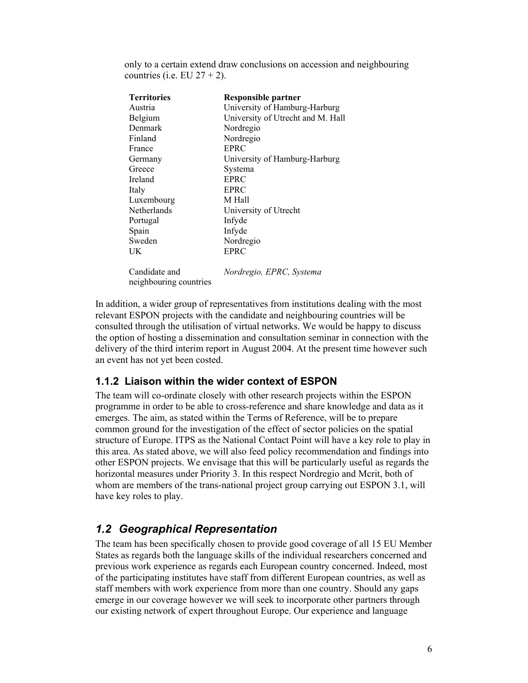only to a certain extend draw conclusions on accession and neighbouring countries (i.e. EU  $27 + 2$ ).

| <b>Territories</b>     | <b>Responsible partner</b>        |
|------------------------|-----------------------------------|
| Austria                | University of Hamburg-Harburg     |
| Belgium                | University of Utrecht and M. Hall |
| Denmark                | Nordregio                         |
| Finland                | Nordregio                         |
| France                 | <b>EPRC</b>                       |
| Germany                | University of Hamburg-Harburg     |
| Greece                 | Systema                           |
| Ireland                | <b>EPRC</b>                       |
| Italy                  | <b>EPRC</b>                       |
| Luxembourg             | M Hall                            |
| Netherlands            | University of Utrecht             |
| Portugal               | Infyde                            |
| Spain                  | Infyde                            |
| Sweden                 | Nordregio                         |
| UK                     | <b>EPRC</b>                       |
|                        |                                   |
| Candidate and          | Nordregio, EPRC, Systema          |
| neighbouring countries |                                   |

In addition, a wider group of representatives from institutions dealing with the most relevant ESPON projects with the candidate and neighbouring countries will be consulted through the utilisation of virtual networks. We would be happy to discuss the option of hosting a dissemination and consultation seminar in connection with the delivery of the third interim report in August 2004. At the present time however such an event has not yet been costed.

### **1.1.2 Liaison within the wider context of ESPON**

The team will co-ordinate closely with other research projects within the ESPON programme in order to be able to cross-reference and share knowledge and data as it emerges. The aim, as stated within the Terms of Reference, will be to prepare common ground for the investigation of the effect of sector policies on the spatial structure of Europe. ITPS as the National Contact Point will have a key role to play in this area. As stated above, we will also feed policy recommendation and findings into other ESPON projects. We envisage that this will be particularly useful as regards the horizontal measures under Priority 3. In this respect Nordregio and Mcrit, both of whom are members of the trans-national project group carrying out ESPON 3.1, will have key roles to play.

### *1.2 Geographical Representation*

The team has been specifically chosen to provide good coverage of all 15 EU Member States as regards both the language skills of the individual researchers concerned and previous work experience as regards each European country concerned. Indeed, most of the participating institutes have staff from different European countries, as well as staff members with work experience from more than one country. Should any gaps emerge in our coverage however we will seek to incorporate other partners through our existing network of expert throughout Europe. Our experience and language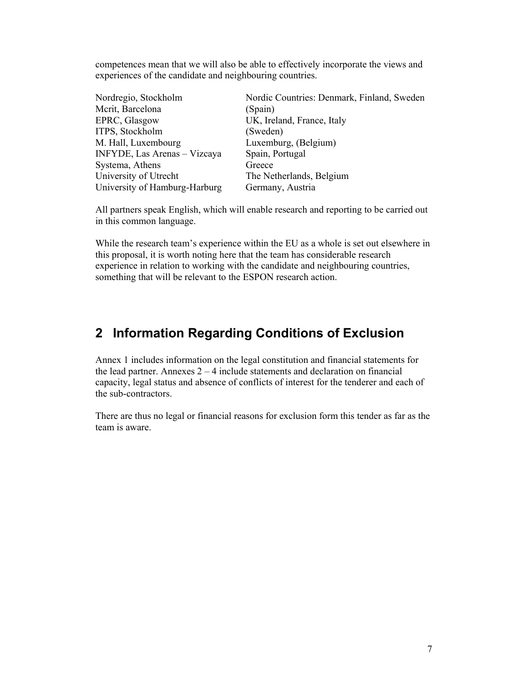competences mean that we will also be able to effectively incorporate the views and experiences of the candidate and neighbouring countries.

| Nordregio, Stockholm          | Nordic Countries: Denmark, Finland, Sweden |
|-------------------------------|--------------------------------------------|
| Mcrit, Barcelona              | (Spain)                                    |
| EPRC, Glasgow                 | UK, Ireland, France, Italy                 |
| ITPS, Stockholm               | (Sweden)                                   |
| M. Hall, Luxembourg           | Luxemburg, (Belgium)                       |
| INFYDE, Las Arenas - Vizcaya  | Spain, Portugal                            |
| Systema, Athens               | Greece                                     |
| University of Utrecht         | The Netherlands, Belgium                   |
| University of Hamburg-Harburg | Germany, Austria                           |

All partners speak English, which will enable research and reporting to be carried out in this common language.

While the research team's experience within the EU as a whole is set out elsewhere in this proposal, it is worth noting here that the team has considerable research experience in relation to working with the candidate and neighbouring countries, something that will be relevant to the ESPON research action.

## **2 Information Regarding Conditions of Exclusion**

Annex 1 includes information on the legal constitution and financial statements for the lead partner. Annexes  $2 - 4$  include statements and declaration on financial capacity, legal status and absence of conflicts of interest for the tenderer and each of the sub-contractors.

There are thus no legal or financial reasons for exclusion form this tender as far as the team is aware.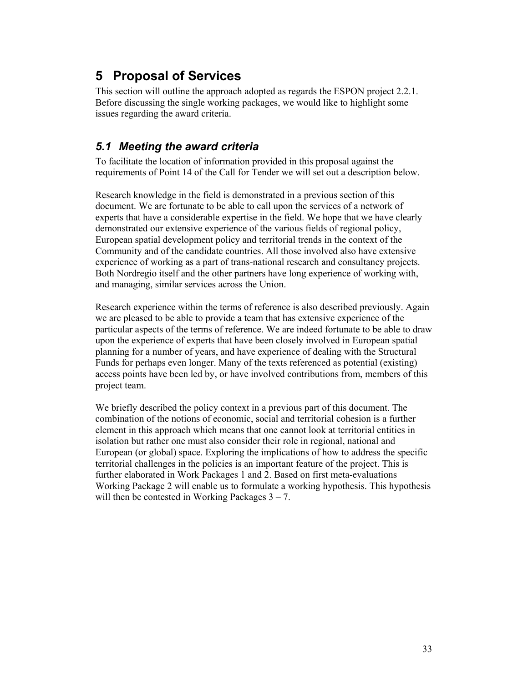# **5 Proposal of Services**

This section will outline the approach adopted as regards the ESPON project 2.2.1. Before discussing the single working packages, we would like to highlight some issues regarding the award criteria.

### *5.1 Meeting the award criteria*

To facilitate the location of information provided in this proposal against the requirements of Point 14 of the Call for Tender we will set out a description below.

Research knowledge in the field is demonstrated in a previous section of this document. We are fortunate to be able to call upon the services of a network of experts that have a considerable expertise in the field. We hope that we have clearly demonstrated our extensive experience of the various fields of regional policy, European spatial development policy and territorial trends in the context of the Community and of the candidate countries. All those involved also have extensive experience of working as a part of trans-national research and consultancy projects. Both Nordregio itself and the other partners have long experience of working with, and managing, similar services across the Union.

Research experience within the terms of reference is also described previously. Again we are pleased to be able to provide a team that has extensive experience of the particular aspects of the terms of reference. We are indeed fortunate to be able to draw upon the experience of experts that have been closely involved in European spatial planning for a number of years, and have experience of dealing with the Structural Funds for perhaps even longer. Many of the texts referenced as potential (existing) access points have been led by, or have involved contributions from, members of this project team.

We briefly described the policy context in a previous part of this document. The combination of the notions of economic, social and territorial cohesion is a further element in this approach which means that one cannot look at territorial entities in isolation but rather one must also consider their role in regional, national and European (or global) space. Exploring the implications of how to address the specific territorial challenges in the policies is an important feature of the project. This is further elaborated in Work Packages 1 and 2. Based on first meta-evaluations Working Package 2 will enable us to formulate a working hypothesis. This hypothesis will then be contested in Working Packages  $3 - 7$ .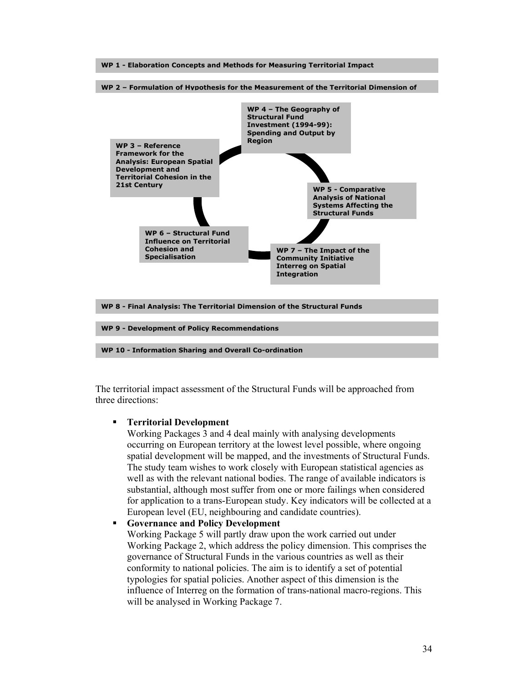

The territorial impact assessment of the Structural Funds will be approached from three directions:

#### **Territorial Development**

Working Packages 3 and 4 deal mainly with analysing developments occurring on European territory at the lowest level possible, where ongoing spatial development will be mapped, and the investments of Structural Funds. The study team wishes to work closely with European statistical agencies as well as with the relevant national bodies. The range of available indicators is substantial, although most suffer from one or more failings when considered for application to a trans-European study. Key indicators will be collected at a European level (EU, neighbouring and candidate countries).

#### **Governance and Policy Development**

Working Package 5 will partly draw upon the work carried out under Working Package 2, which address the policy dimension. This comprises the governance of Structural Funds in the various countries as well as their conformity to national policies. The aim is to identify a set of potential typologies for spatial policies. Another aspect of this dimension is the influence of Interreg on the formation of trans-national macro-regions. This will be analysed in Working Package 7.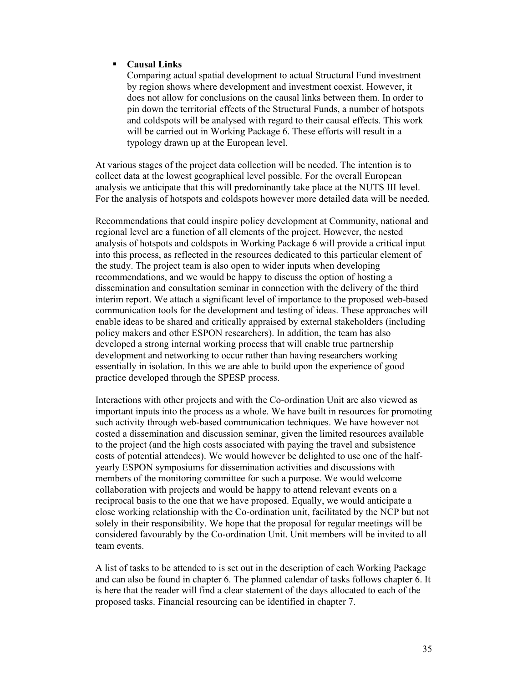#### **Causal Links**

Comparing actual spatial development to actual Structural Fund investment by region shows where development and investment coexist. However, it does not allow for conclusions on the causal links between them. In order to pin down the territorial effects of the Structural Funds, a number of hotspots and coldspots will be analysed with regard to their causal effects. This work will be carried out in Working Package 6. These efforts will result in a typology drawn up at the European level.

At various stages of the project data collection will be needed. The intention is to collect data at the lowest geographical level possible. For the overall European analysis we anticipate that this will predominantly take place at the NUTS III level. For the analysis of hotspots and coldspots however more detailed data will be needed.

Recommendations that could inspire policy development at Community, national and regional level are a function of all elements of the project. However, the nested analysis of hotspots and coldspots in Working Package 6 will provide a critical input into this process, as reflected in the resources dedicated to this particular element of the study. The project team is also open to wider inputs when developing recommendations, and we would be happy to discuss the option of hosting a dissemination and consultation seminar in connection with the delivery of the third interim report. We attach a significant level of importance to the proposed web-based communication tools for the development and testing of ideas. These approaches will enable ideas to be shared and critically appraised by external stakeholders (including policy makers and other ESPON researchers). In addition, the team has also developed a strong internal working process that will enable true partnership development and networking to occur rather than having researchers working essentially in isolation. In this we are able to build upon the experience of good practice developed through the SPESP process.

Interactions with other projects and with the Co-ordination Unit are also viewed as important inputs into the process as a whole. We have built in resources for promoting such activity through web-based communication techniques. We have however not costed a dissemination and discussion seminar, given the limited resources available to the project (and the high costs associated with paying the travel and subsistence costs of potential attendees). We would however be delighted to use one of the halfyearly ESPON symposiums for dissemination activities and discussions with members of the monitoring committee for such a purpose. We would welcome collaboration with projects and would be happy to attend relevant events on a reciprocal basis to the one that we have proposed. Equally, we would anticipate a close working relationship with the Co-ordination unit, facilitated by the NCP but not solely in their responsibility. We hope that the proposal for regular meetings will be considered favourably by the Co-ordination Unit. Unit members will be invited to all team events.

A list of tasks to be attended to is set out in the description of each Working Package and can also be found in chapter 6. The planned calendar of tasks follows chapter 6. It is here that the reader will find a clear statement of the days allocated to each of the proposed tasks. Financial resourcing can be identified in chapter 7.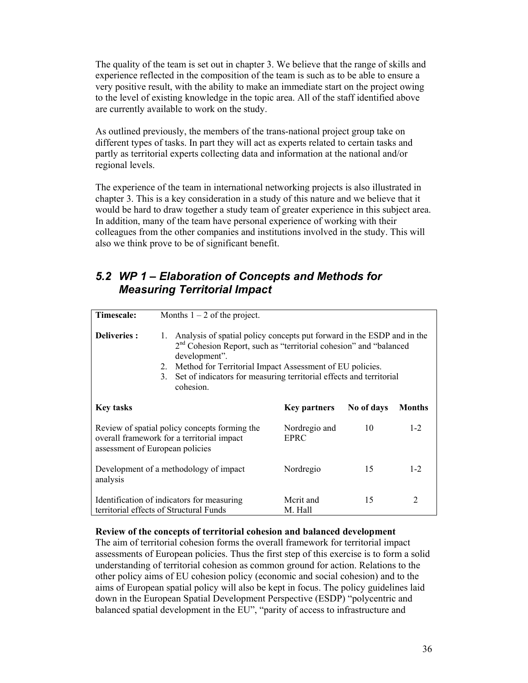The quality of the team is set out in chapter 3. We believe that the range of skills and experience reflected in the composition of the team is such as to be able to ensure a very positive result, with the ability to make an immediate start on the project owing to the level of existing knowledge in the topic area. All of the staff identified above are currently available to work on the study.

As outlined previously, the members of the trans-national project group take on different types of tasks. In part they will act as experts related to certain tasks and partly as territorial experts collecting data and information at the national and/or regional levels.

The experience of the team in international networking projects is also illustrated in chapter 3. This is a key consideration in a study of this nature and we believe that it would be hard to draw together a study team of greater experience in this subject area. In addition, many of the team have personal experience of working with their colleagues from the other companies and institutions involved in the study. This will also we think prove to be of significant benefit.

## *5.2 WP 1 – Elaboration of Concepts and Methods for Measuring Territorial Impact*

| Timescale:                                                                                                                     | Months $1 - 2$ of the project.                                                                                                                                                                                                                                                                                                             |                       |            |               |
|--------------------------------------------------------------------------------------------------------------------------------|--------------------------------------------------------------------------------------------------------------------------------------------------------------------------------------------------------------------------------------------------------------------------------------------------------------------------------------------|-----------------------|------------|---------------|
| <b>Deliveries:</b>                                                                                                             | Analysis of spatial policy concepts put forward in the ESDP and in the<br>1.<br>2 <sup>nd</sup> Cohesion Report, such as "territorial cohesion" and "balanced<br>development".<br>Method for Territorial Impact Assessment of EU policies.<br>2.<br>Set of indicators for measuring territorial effects and territorial<br>3.<br>cohesion. |                       |            |               |
| <b>Key tasks</b>                                                                                                               |                                                                                                                                                                                                                                                                                                                                            | <b>Key partners</b>   | No of days | <b>Months</b> |
| Review of spatial policy concepts forming the<br>overall framework for a territorial impact<br>assessment of European policies |                                                                                                                                                                                                                                                                                                                                            | Nordregio and<br>EPRC | 10         | $1 - 2$       |
| analysis                                                                                                                       | Development of a methodology of impact                                                                                                                                                                                                                                                                                                     | Nordregio             | 15         | $1 - 2$       |
|                                                                                                                                | Identification of indicators for measuring<br>territorial effects of Structural Funds                                                                                                                                                                                                                                                      | Merit and<br>M. Hall  | 15         | 2             |

#### **Review of the concepts of territorial cohesion and balanced development**

The aim of territorial cohesion forms the overall framework for territorial impact assessments of European policies. Thus the first step of this exercise is to form a solid understanding of territorial cohesion as common ground for action. Relations to the other policy aims of EU cohesion policy (economic and social cohesion) and to the aims of European spatial policy will also be kept in focus. The policy guidelines laid down in the European Spatial Development Perspective (ESDP) "polycentric and balanced spatial development in the EU", "parity of access to infrastructure and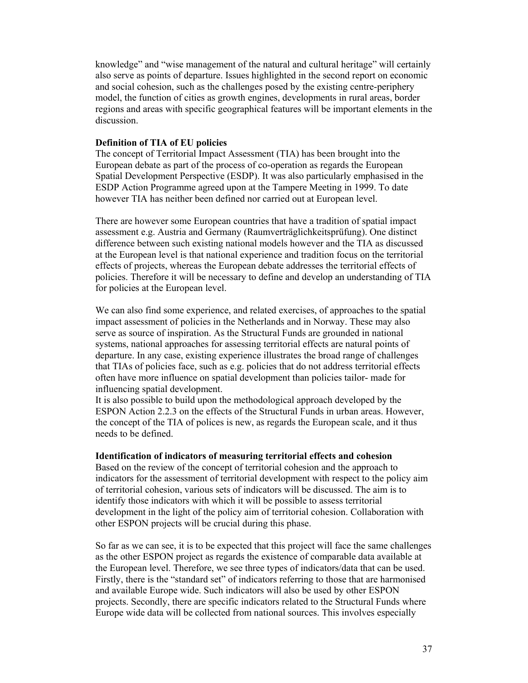knowledge" and "wise management of the natural and cultural heritage" will certainly also serve as points of departure. Issues highlighted in the second report on economic and social cohesion, such as the challenges posed by the existing centre-periphery model, the function of cities as growth engines, developments in rural areas, border regions and areas with specific geographical features will be important elements in the discussion.

#### **Definition of TIA of EU policies**

The concept of Territorial Impact Assessment (TIA) has been brought into the European debate as part of the process of co-operation as regards the European Spatial Development Perspective (ESDP). It was also particularly emphasised in the ESDP Action Programme agreed upon at the Tampere Meeting in 1999. To date however TIA has neither been defined nor carried out at European level.

There are however some European countries that have a tradition of spatial impact assessment e.g. Austria and Germany (Raumverträglichkeitsprüfung). One distinct difference between such existing national models however and the TIA as discussed at the European level is that national experience and tradition focus on the territorial effects of projects, whereas the European debate addresses the territorial effects of policies. Therefore it will be necessary to define and develop an understanding of TIA for policies at the European level.

We can also find some experience, and related exercises, of approaches to the spatial impact assessment of policies in the Netherlands and in Norway. These may also serve as source of inspiration. As the Structural Funds are grounded in national systems, national approaches for assessing territorial effects are natural points of departure. In any case, existing experience illustrates the broad range of challenges that TIAs of policies face, such as e.g. policies that do not address territorial effects often have more influence on spatial development than policies tailor- made for influencing spatial development.

It is also possible to build upon the methodological approach developed by the ESPON Action 2.2.3 on the effects of the Structural Funds in urban areas. However, the concept of the TIA of polices is new, as regards the European scale, and it thus needs to be defined.

#### **Identification of indicators of measuring territorial effects and cohesion**

Based on the review of the concept of territorial cohesion and the approach to indicators for the assessment of territorial development with respect to the policy aim of territorial cohesion, various sets of indicators will be discussed. The aim is to identify those indicators with which it will be possible to assess territorial development in the light of the policy aim of territorial cohesion. Collaboration with other ESPON projects will be crucial during this phase.

So far as we can see, it is to be expected that this project will face the same challenges as the other ESPON project as regards the existence of comparable data available at the European level. Therefore, we see three types of indicators/data that can be used. Firstly, there is the "standard set" of indicators referring to those that are harmonised and available Europe wide. Such indicators will also be used by other ESPON projects. Secondly, there are specific indicators related to the Structural Funds where Europe wide data will be collected from national sources. This involves especially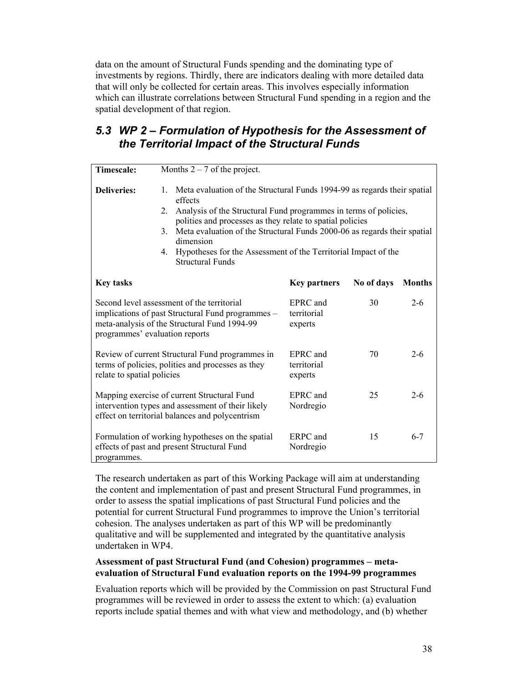data on the amount of Structural Funds spending and the dominating type of investments by regions. Thirdly, there are indicators dealing with more detailed data that will only be collected for certain areas. This involves especially information which can illustrate correlations between Structural Fund spending in a region and the spatial development of that region.

## *5.3 WP 2 – Formulation of Hypothesis for the Assessment of the Territorial Impact of the Structural Funds*

| <b>Timescale:</b>                                                                                                                                                                 | Months $2 - 7$ of the project.                                                                                                                                                                                                                                                                                                                                                                                                                          |                                    |            |               |
|-----------------------------------------------------------------------------------------------------------------------------------------------------------------------------------|---------------------------------------------------------------------------------------------------------------------------------------------------------------------------------------------------------------------------------------------------------------------------------------------------------------------------------------------------------------------------------------------------------------------------------------------------------|------------------------------------|------------|---------------|
| <b>Deliveries:</b>                                                                                                                                                                | $1_{-}$<br>Meta evaluation of the Structural Funds 1994-99 as regards their spatial<br>effects<br>Analysis of the Structural Fund programmes in terms of policies,<br>$2_{-}$<br>polities and processes as they relate to spatial policies<br>Meta evaluation of the Structural Funds 2000-06 as regards their spatial<br>$\mathcal{E}$<br>dimension<br>Hypotheses for the Assessment of the Territorial Impact of the<br>4.<br><b>Structural Funds</b> |                                    |            |               |
| <b>Key tasks</b>                                                                                                                                                                  |                                                                                                                                                                                                                                                                                                                                                                                                                                                         | <b>Key partners</b>                | No of days | <b>Months</b> |
| Second level assessment of the territorial<br>implications of past Structural Fund programmes -<br>meta-analysis of the Structural Fund 1994-99<br>programmes' evaluation reports |                                                                                                                                                                                                                                                                                                                                                                                                                                                         | EPRC and<br>territorial<br>experts | 30         | $2 - 6$       |
| Review of current Structural Fund programmes in<br>terms of policies, polities and processes as they<br>relate to spatial policies                                                |                                                                                                                                                                                                                                                                                                                                                                                                                                                         | EPRC and<br>territorial<br>experts | 70         | $2 - 6$       |
| Mapping exercise of current Structural Fund<br>intervention types and assessment of their likely<br>effect on territorial balances and polycentrism                               |                                                                                                                                                                                                                                                                                                                                                                                                                                                         | EPRC and<br>Nordregio              | 25         | $2 - 6$       |
| Formulation of working hypotheses on the spatial<br>effects of past and present Structural Fund<br>programmes.                                                                    |                                                                                                                                                                                                                                                                                                                                                                                                                                                         | ERPC and<br>Nordregio              | 15         | $6 - 7$       |

The research undertaken as part of this Working Package will aim at understanding the content and implementation of past and present Structural Fund programmes, in order to assess the spatial implications of past Structural Fund policies and the potential for current Structural Fund programmes to improve the Union's territorial cohesion. The analyses undertaken as part of this WP will be predominantly qualitative and will be supplemented and integrated by the quantitative analysis undertaken in WP4.

#### **Assessment of past Structural Fund (and Cohesion) programmes – metaevaluation of Structural Fund evaluation reports on the 1994-99 programmes**

Evaluation reports which will be provided by the Commission on past Structural Fund programmes will be reviewed in order to assess the extent to which: (a) evaluation reports include spatial themes and with what view and methodology, and (b) whether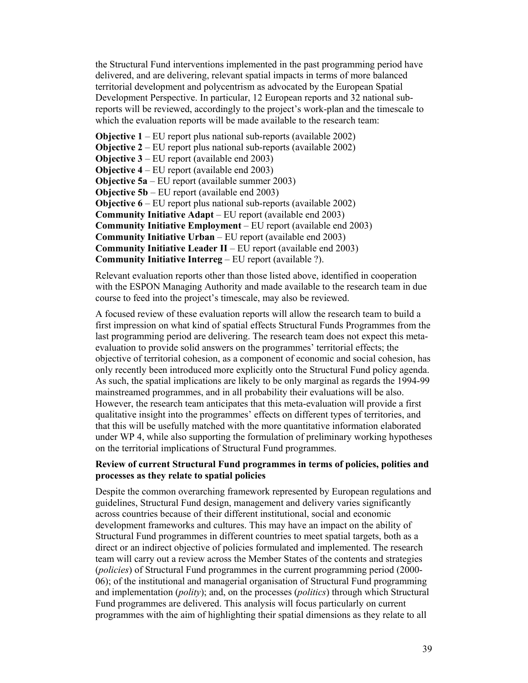the Structural Fund interventions implemented in the past programming period have delivered, and are delivering, relevant spatial impacts in terms of more balanced territorial development and polycentrism as advocated by the European Spatial Development Perspective. In particular, 12 European reports and 32 national subreports will be reviewed, accordingly to the project's work-plan and the timescale to which the evaluation reports will be made available to the research team:

**Objective 1** – EU report plus national sub-reports (available 2002) **Objective 2** – EU report plus national sub-reports (available 2002) **Objective 3** – EU report (available end 2003) **Objective 4** – EU report (available end 2003) **Objective 5a** – EU report (available summer 2003) **Objective 5b** – EU report (available end 2003) **Objective 6** – EU report plus national sub-reports (available 2002) **Community Initiative Adapt** – EU report (available end 2003) **Community Initiative Employment** – EU report (available end 2003) **Community Initiative Urban** – EU report (available end 2003) **Community Initiative Leader II** – EU report (available end 2003) **Community Initiative Interreg** – EU report (available ?).

Relevant evaluation reports other than those listed above, identified in cooperation with the ESPON Managing Authority and made available to the research team in due course to feed into the project's timescale, may also be reviewed.

A focused review of these evaluation reports will allow the research team to build a first impression on what kind of spatial effects Structural Funds Programmes from the last programming period are delivering. The research team does not expect this metaevaluation to provide solid answers on the programmes' territorial effects; the objective of territorial cohesion, as a component of economic and social cohesion, has only recently been introduced more explicitly onto the Structural Fund policy agenda. As such, the spatial implications are likely to be only marginal as regards the 1994-99 mainstreamed programmes, and in all probability their evaluations will be also. However, the research team anticipates that this meta-evaluation will provide a first qualitative insight into the programmes' effects on different types of territories, and that this will be usefully matched with the more quantitative information elaborated under WP 4, while also supporting the formulation of preliminary working hypotheses on the territorial implications of Structural Fund programmes.

#### **Review of current Structural Fund programmes in terms of policies, polities and processes as they relate to spatial policies**

Despite the common overarching framework represented by European regulations and guidelines, Structural Fund design, management and delivery varies significantly across countries because of their different institutional, social and economic development frameworks and cultures. This may have an impact on the ability of Structural Fund programmes in different countries to meet spatial targets, both as a direct or an indirect objective of policies formulated and implemented. The research team will carry out a review across the Member States of the contents and strategies (*policies*) of Structural Fund programmes in the current programming period (2000- 06); of the institutional and managerial organisation of Structural Fund programming and implementation (*polity*); and, on the processes (*politics*) through which Structural Fund programmes are delivered. This analysis will focus particularly on current programmes with the aim of highlighting their spatial dimensions as they relate to all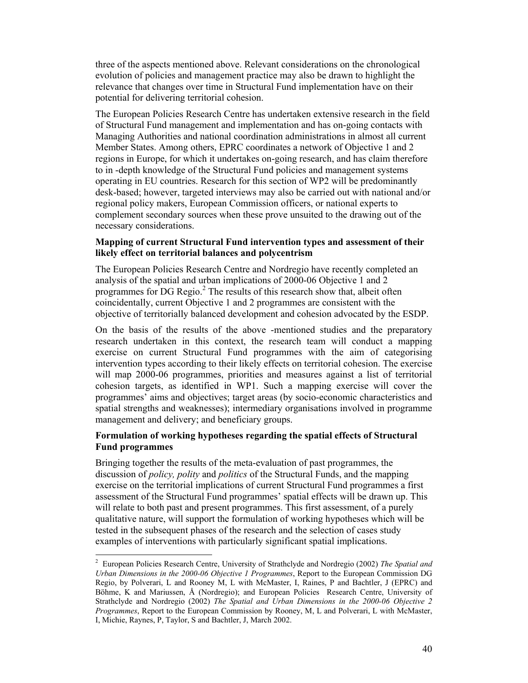three of the aspects mentioned above. Relevant considerations on the chronological evolution of policies and management practice may also be drawn to highlight the relevance that changes over time in Structural Fund implementation have on their potential for delivering territorial cohesion.

The European Policies Research Centre has undertaken extensive research in the field of Structural Fund management and implementation and has on-going contacts with Managing Authorities and national coordination administrations in almost all current Member States. Among others, EPRC coordinates a network of Objective 1 and 2 regions in Europe, for which it undertakes on-going research, and has claim therefore to in -depth knowledge of the Structural Fund policies and management systems operating in EU countries. Research for this section of WP2 will be predominantly desk-based; however, targeted interviews may also be carried out with national and/or regional policy makers, European Commission officers, or national experts to complement secondary sources when these prove unsuited to the drawing out of the necessary considerations.

#### **Mapping of current Structural Fund intervention types and assessment of their likely effect on territorial balances and polycentrism**

The European Policies Research Centre and Nordregio have recently completed an analysis of the spatial and urban implications of 2000-06 Objective 1 and 2 programmes for  $DG$  Regio.<sup>2</sup> The results of this research show that, albeit often coincidentally, current Objective 1 and 2 programmes are consistent with the objective of territorially balanced development and cohesion advocated by the ESDP.

On the basis of the results of the above -mentioned studies and the preparatory research undertaken in this context, the research team will conduct a mapping exercise on current Structural Fund programmes with the aim of categorising intervention types according to their likely effects on territorial cohesion. The exercise will map 2000-06 programmes, priorities and measures against a list of territorial cohesion targets, as identified in WP1. Such a mapping exercise will cover the programmes' aims and objectives; target areas (by socio-economic characteristics and spatial strengths and weaknesses); intermediary organisations involved in programme management and delivery; and beneficiary groups.

#### **Formulation of working hypotheses regarding the spatial effects of Structural Fund programmes**

Bringing together the results of the meta-evaluation of past programmes, the discussion of *policy, polity* and *politics* of the Structural Funds, and the mapping exercise on the territorial implications of current Structural Fund programmes a first assessment of the Structural Fund programmes' spatial effects will be drawn up. This will relate to both past and present programmes. This first assessment, of a purely qualitative nature, will support the formulation of working hypotheses which will be tested in the subsequent phases of the research and the selection of cases study examples of interventions with particularly significant spatial implications.

 $\overline{\phantom{a}}$ 

<sup>2</sup> European Policies Research Centre, University of Strathclyde and Nordregio (2002) *The Spatial and Urban Dimensions in the 2000-06 Objective 1 Programmes*, Report to the European Commission DG Regio, by Polverari, L and Rooney M, L with McMaster, I, Raines, P and Bachtler, J (EPRC) and Böhme, K and Mariussen, Å (Nordregio); and European Policies Research Centre, University of Strathclyde and Nordregio (2002) *The Spatial and Urban Dimensions in the 2000-06 Objective 2 Programmes*, Report to the European Commission by Rooney, M, L and Polverari, L with McMaster, I, Michie, Raynes, P, Taylor, S and Bachtler, J, March 2002.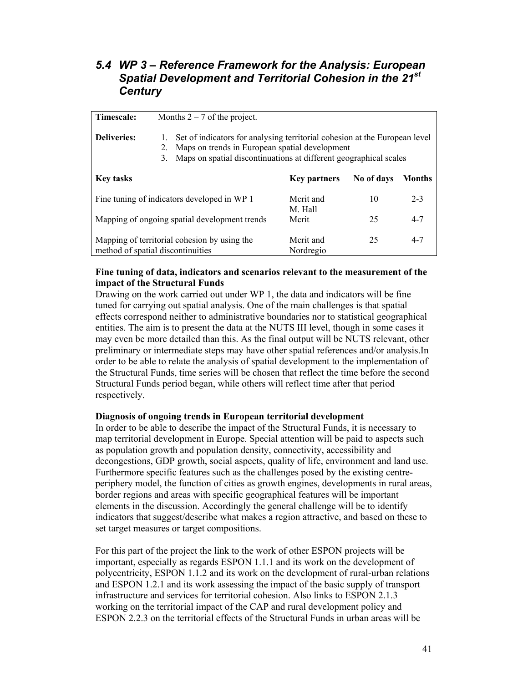### *5.4 WP 3 – Reference Framework for the Analysis: European Spatial Development and Territorial Cohesion in the 21st Century*

| Timescale:                                                                        | Months $2 - 7$ of the project.                                                                                                                                                                                      |                        |            |               |
|-----------------------------------------------------------------------------------|---------------------------------------------------------------------------------------------------------------------------------------------------------------------------------------------------------------------|------------------------|------------|---------------|
| <b>Deliveries:</b>                                                                | Set of indicators for analysing territorial cohesion at the European level<br>1.<br>Maps on trends in European spatial development<br>2.<br>Maps on spatial discontinuations at different geographical scales<br>3. |                        |            |               |
| <b>Key tasks</b>                                                                  |                                                                                                                                                                                                                     | <b>Key partners</b>    | No of days | <b>Months</b> |
| Fine tuning of indicators developed in WP 1                                       |                                                                                                                                                                                                                     | Merit and<br>M. Hall   | 10         | $2 - 3$       |
| Mapping of ongoing spatial development trends                                     |                                                                                                                                                                                                                     | Merit                  | 25         | $4 - 7$       |
| Mapping of territorial cohesion by using the<br>method of spatial discontinuities |                                                                                                                                                                                                                     | Merit and<br>Nordregio | 25         | $4 - 7$       |

#### **Fine tuning of data, indicators and scenarios relevant to the measurement of the impact of the Structural Funds**

Drawing on the work carried out under WP 1, the data and indicators will be fine tuned for carrying out spatial analysis. One of the main challenges is that spatial effects correspond neither to administrative boundaries nor to statistical geographical entities. The aim is to present the data at the NUTS III level, though in some cases it may even be more detailed than this. As the final output will be NUTS relevant, other preliminary or intermediate steps may have other spatial references and/or analysis.In order to be able to relate the analysis of spatial development to the implementation of the Structural Funds, time series will be chosen that reflect the time before the second Structural Funds period began, while others will reflect time after that period respectively.

#### **Diagnosis of ongoing trends in European territorial development**

In order to be able to describe the impact of the Structural Funds, it is necessary to map territorial development in Europe. Special attention will be paid to aspects such as population growth and population density, connectivity, accessibility and decongestions, GDP growth, social aspects, quality of life, environment and land use. Furthermore specific features such as the challenges posed by the existing centreperiphery model, the function of cities as growth engines, developments in rural areas, border regions and areas with specific geographical features will be important elements in the discussion. Accordingly the general challenge will be to identify indicators that suggest/describe what makes a region attractive, and based on these to set target measures or target compositions.

For this part of the project the link to the work of other ESPON projects will be important, especially as regards ESPON 1.1.1 and its work on the development of polycentricity, ESPON 1.1.2 and its work on the development of rural-urban relations and ESPON 1.2.1 and its work assessing the impact of the basic supply of transport infrastructure and services for territorial cohesion. Also links to ESPON 2.1.3 working on the territorial impact of the CAP and rural development policy and ESPON 2.2.3 on the territorial effects of the Structural Funds in urban areas will be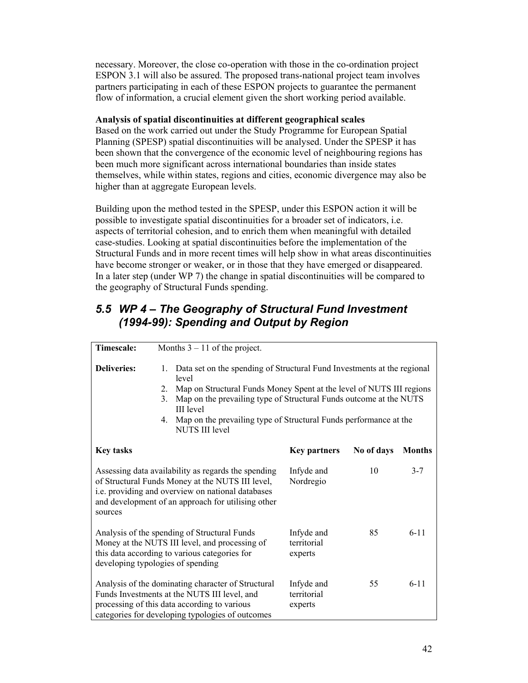necessary. Moreover, the close co-operation with those in the co-ordination project ESPON 3.1 will also be assured. The proposed trans-national project team involves partners participating in each of these ESPON projects to guarantee the permanent flow of information, a crucial element given the short working period available.

#### **Analysis of spatial discontinuities at different geographical scales**

Based on the work carried out under the Study Programme for European Spatial Planning (SPESP) spatial discontinuities will be analysed. Under the SPESP it has been shown that the convergence of the economic level of neighbouring regions has been much more significant across international boundaries than inside states themselves, while within states, regions and cities, economic divergence may also be higher than at aggregate European levels.

Building upon the method tested in the SPESP, under this ESPON action it will be possible to investigate spatial discontinuities for a broader set of indicators, i.e. aspects of territorial cohesion, and to enrich them when meaningful with detailed case-studies. Looking at spatial discontinuities before the implementation of the Structural Funds and in more recent times will help show in what areas discontinuities have become stronger or weaker, or in those that they have emerged or disappeared. In a later step (under WP 7) the change in spatial discontinuities will be compared to the geography of Structural Funds spending.

## *5.5 WP 4 – The Geography of Structural Fund Investment (1994-99): Spending and Output by Region*

| Timescale:                                                                                                                                                                                                                                                       | Months $3 - 11$ of the project.                                            |                                                                                                                                                                                                                                                                                            |            |               |
|------------------------------------------------------------------------------------------------------------------------------------------------------------------------------------------------------------------------------------------------------------------|----------------------------------------------------------------------------|--------------------------------------------------------------------------------------------------------------------------------------------------------------------------------------------------------------------------------------------------------------------------------------------|------------|---------------|
| <b>Deliveries:</b>                                                                                                                                                                                                                                               | 1.<br>level<br>2.<br>3.<br><b>III</b> level<br>4.<br><b>NUTS III level</b> | Data set on the spending of Structural Fund Investments at the regional<br>Map on Structural Funds Money Spent at the level of NUTS III regions<br>Map on the prevailing type of Structural Funds outcome at the NUTS<br>Map on the prevailing type of Structural Funds performance at the |            |               |
| <b>Key tasks</b>                                                                                                                                                                                                                                                 |                                                                            | <b>Key partners</b>                                                                                                                                                                                                                                                                        | No of days | <b>Months</b> |
| Assessing data availability as regards the spending<br>of Structural Funds Money at the NUTS III level,<br>i.e. providing and overview on national databases<br>and development of an approach for utilising other<br>sources                                    |                                                                            | Infyde and<br>Nordregio                                                                                                                                                                                                                                                                    | 10         | $3 - 7$       |
| Analysis of the spending of Structural Funds<br>Money at the NUTS III level, and processing of<br>this data according to various categories for<br>developing typologies of spending                                                                             |                                                                            | Infyde and<br>territorial<br>experts                                                                                                                                                                                                                                                       | 85         | $6 - 11$      |
| $6 - 11$<br>Analysis of the dominating character of Structural<br>Infyde and<br>55<br>Funds Investments at the NUTS III level, and<br>territorial<br>processing of this data according to various<br>experts<br>categories for developing typologies of outcomes |                                                                            |                                                                                                                                                                                                                                                                                            |            |               |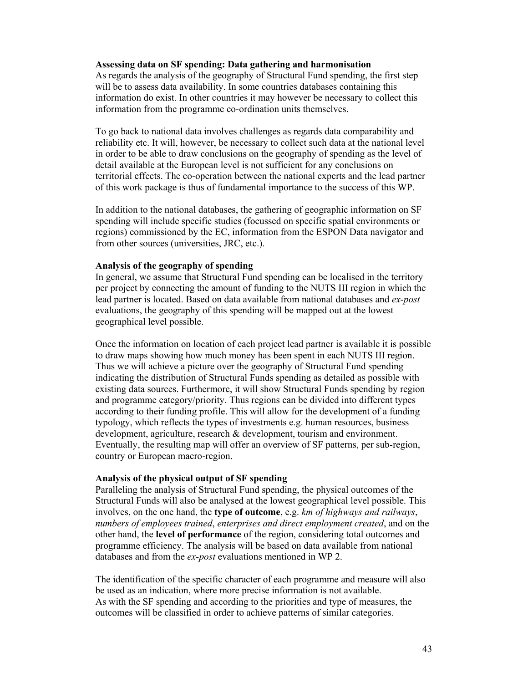#### **Assessing data on SF spending: Data gathering and harmonisation**

As regards the analysis of the geography of Structural Fund spending, the first step will be to assess data availability. In some countries databases containing this information do exist. In other countries it may however be necessary to collect this information from the programme co-ordination units themselves.

To go back to national data involves challenges as regards data comparability and reliability etc. It will, however, be necessary to collect such data at the national level in order to be able to draw conclusions on the geography of spending as the level of detail available at the European level is not sufficient for any conclusions on territorial effects. The co-operation between the national experts and the lead partner of this work package is thus of fundamental importance to the success of this WP.

In addition to the national databases, the gathering of geographic information on SF spending will include specific studies (focussed on specific spatial environments or regions) commissioned by the EC, information from the ESPON Data navigator and from other sources (universities, JRC, etc.).

#### **Analysis of the geography of spending**

In general, we assume that Structural Fund spending can be localised in the territory per project by connecting the amount of funding to the NUTS III region in which the lead partner is located. Based on data available from national databases and *ex-post* evaluations, the geography of this spending will be mapped out at the lowest geographical level possible.

Once the information on location of each project lead partner is available it is possible to draw maps showing how much money has been spent in each NUTS III region. Thus we will achieve a picture over the geography of Structural Fund spending indicating the distribution of Structural Funds spending as detailed as possible with existing data sources. Furthermore, it will show Structural Funds spending by region and programme category/priority. Thus regions can be divided into different types according to their funding profile. This will allow for the development of a funding typology, which reflects the types of investments e.g. human resources, business development, agriculture, research & development, tourism and environment. Eventually, the resulting map will offer an overview of SF patterns, per sub-region, country or European macro-region.

#### **Analysis of the physical output of SF spending**

Paralleling the analysis of Structural Fund spending, the physical outcomes of the Structural Funds will also be analysed at the lowest geographical level possible. This involves, on the one hand, the **type of outcome**, e.g. *km of highways and railways*, *numbers of employees trained*, *enterprises and direct employment created*, and on the other hand, the **level of performance** of the region, considering total outcomes and programme efficiency. The analysis will be based on data available from national databases and from the *ex-post* evaluations mentioned in WP 2.

The identification of the specific character of each programme and measure will also be used as an indication, where more precise information is not available. As with the SF spending and according to the priorities and type of measures, the outcomes will be classified in order to achieve patterns of similar categories.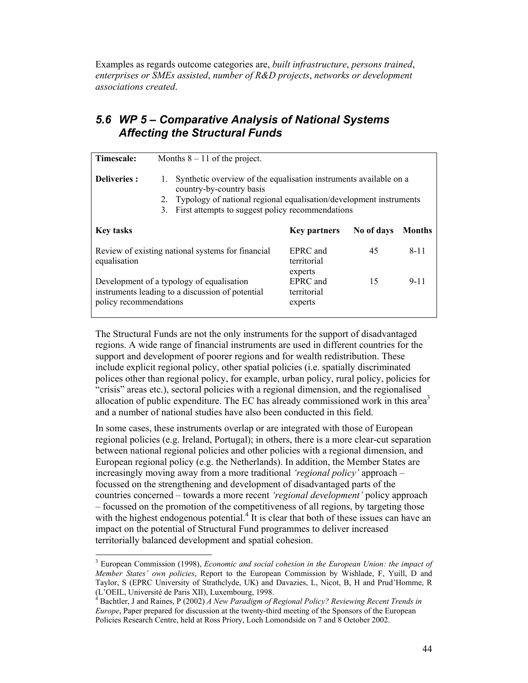Examples as regards outcome categories are, *built infrastructure*, *persons trained*, *enterprises or SMEs assisted*, *number of R&D projects*, *networks or development associations created*.

### *5.6 WP 5 – Comparative Analysis of National Systems Affecting the Structural Funds*

| Timescale:                                                                                                              | Months $8 - 11$ of the project.                                                                                                                                                                                                           |                                    |            |               |
|-------------------------------------------------------------------------------------------------------------------------|-------------------------------------------------------------------------------------------------------------------------------------------------------------------------------------------------------------------------------------------|------------------------------------|------------|---------------|
| <b>Deliveries:</b>                                                                                                      | Synthetic overview of the equalisation instruments available on a<br>1.<br>country-by-country basis<br>Typology of national regional equalisation/development instruments<br>2.<br>First attempts to suggest policy recommendations<br>3. |                                    |            |               |
| <b>Key tasks</b>                                                                                                        |                                                                                                                                                                                                                                           | <b>Key partners</b>                | No of days | <b>Months</b> |
| Review of existing national systems for financial<br>equalisation                                                       |                                                                                                                                                                                                                                           | EPRC and<br>territorial<br>experts | 45         | $8 - 11$      |
| Development of a typology of equalisation<br>instruments leading to a discussion of potential<br>policy recommendations |                                                                                                                                                                                                                                           | EPRC and<br>territorial<br>experts | 15         | $9 - 11$      |

The Structural Funds are not the only instruments for the support of disadvantaged regions. A wide range of financial instruments are used in different countries for the support and development of poorer regions and for wealth redistribution. These include explicit regional policy, other spatial policies (i.e. spatially discriminated polices other than regional policy, for example, urban policy, rural policy, policies for "crisis" areas etc.), sectoral policies with a regional dimension, and the regionalised allocation of public expenditure. The EC has already commissioned work in this area<sup>3</sup> and a number of national studies have also been conducted in this field.

In some cases, these instruments overlap or are integrated with those of European regional policies (e.g. Ireland, Portugal); in others, there is a more clear-cut separation between national regional policies and other policies with a regional dimension, and European regional policy (e.g. the Netherlands). In addition, the Member States are increasingly moving away from a more traditional *'regional policy'* approach – focussed on the strengthening and development of disadvantaged parts of the countries concerned – towards a more recent *'regional development'* policy approach – focussed on the promotion of the competitiveness of all regions, by targeting those with the highest endogenous potential. $\frac{1}{1}$  It is clear that both of these issues can have an impact on the potential of Structural Fund programmes to deliver increased territorially balanced development and spatial cohesion.

 $\overline{\phantom{a}}$ 

<sup>&</sup>lt;sup>3</sup> European Commission (1998), *Economic and social cohesion in the European Union: the impact of Member States' own policies*, Report to the European Commission by Wishlade, F, Yuill, D and Taylor, S (EPRC University of Strathclyde, UK) and Davazies, L, Nicot, B, H and Prud'Homme, R (L'OEIL, Université de Paris XII), Luxembourg, 1998.<br><sup>4</sup> Beektler, Land Beines, B. (2002), 4 New *Benedicus of L* 

Bachtler, J and Raines, P (2002) *A New Paradigm of Regional Policy? Reviewing Recent Trends in Europe*, Paper prepared for discussion at the twenty-third meeting of the Sponsors of the European Policies Research Centre, held at Ross Priory, Loch Lomondside on 7 and 8 October 2002.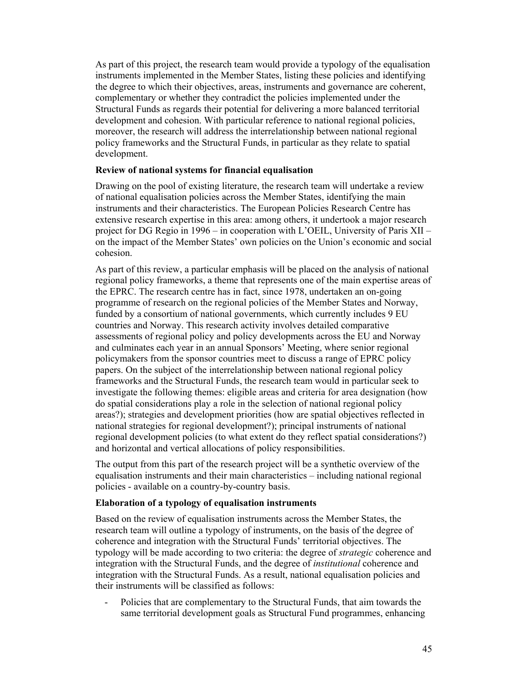As part of this project, the research team would provide a typology of the equalisation instruments implemented in the Member States, listing these policies and identifying the degree to which their objectives, areas, instruments and governance are coherent, complementary or whether they contradict the policies implemented under the Structural Funds as regards their potential for delivering a more balanced territorial development and cohesion. With particular reference to national regional policies, moreover, the research will address the interrelationship between national regional policy frameworks and the Structural Funds, in particular as they relate to spatial development.

#### **Review of national systems for financial equalisation**

Drawing on the pool of existing literature, the research team will undertake a review of national equalisation policies across the Member States, identifying the main instruments and their characteristics. The European Policies Research Centre has extensive research expertise in this area: among others, it undertook a major research project for DG Regio in 1996 – in cooperation with L'OEIL, University of Paris XII – on the impact of the Member States' own policies on the Union's economic and social cohesion.

As part of this review, a particular emphasis will be placed on the analysis of national regional policy frameworks, a theme that represents one of the main expertise areas of the EPRC. The research centre has in fact, since 1978, undertaken an on-going programme of research on the regional policies of the Member States and Norway, funded by a consortium of national governments, which currently includes 9 EU countries and Norway. This research activity involves detailed comparative assessments of regional policy and policy developments across the EU and Norway and culminates each year in an annual Sponsors' Meeting, where senior regional policymakers from the sponsor countries meet to discuss a range of EPRC policy papers. On the subject of the interrelationship between national regional policy frameworks and the Structural Funds, the research team would in particular seek to investigate the following themes: eligible areas and criteria for area designation (how do spatial considerations play a role in the selection of national regional policy areas?); strategies and development priorities (how are spatial objectives reflected in national strategies for regional development?); principal instruments of national regional development policies (to what extent do they reflect spatial considerations?) and horizontal and vertical allocations of policy responsibilities.

The output from this part of the research project will be a synthetic overview of the equalisation instruments and their main characteristics – including national regional policies - available on a country-by-country basis.

#### **Elaboration of a typology of equalisation instruments**

Based on the review of equalisation instruments across the Member States, the research team will outline a typology of instruments, on the basis of the degree of coherence and integration with the Structural Funds' territorial objectives. The typology will be made according to two criteria: the degree of *strategic* coherence and integration with the Structural Funds, and the degree of *institutional* coherence and integration with the Structural Funds. As a result, national equalisation policies and their instruments will be classified as follows:

Policies that are complementary to the Structural Funds, that aim towards the same territorial development goals as Structural Fund programmes, enhancing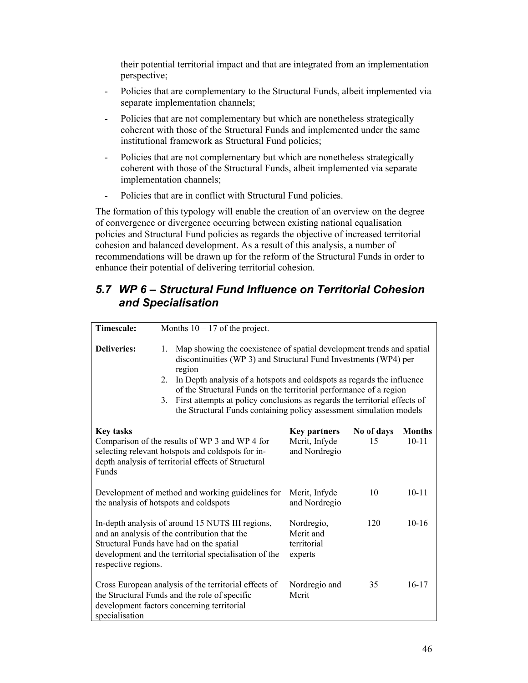their potential territorial impact and that are integrated from an implementation perspective;

- Policies that are complementary to the Structural Funds, albeit implemented via separate implementation channels;
- Policies that are not complementary but which are nonetheless strategically coherent with those of the Structural Funds and implemented under the same institutional framework as Structural Fund policies;
- Policies that are not complementary but which are nonetheless strategically coherent with those of the Structural Funds, albeit implemented via separate implementation channels;
- Policies that are in conflict with Structural Fund policies.

The formation of this typology will enable the creation of an overview on the degree of convergence or divergence occurring between existing national equalisation policies and Structural Fund policies as regards the objective of increased territorial cohesion and balanced development. As a result of this analysis, a number of recommendations will be drawn up for the reform of the Structural Funds in order to enhance their potential of delivering territorial cohesion.

## *5.7 WP 6 – Structural Fund Influence on Territorial Cohesion and Specialisation*

| <b>Timescale:</b>                                                                                                                                                                                                            | Months $10 - 17$ of the project.                                                                                                                                                                                                                                                                                                                                                                                                                                           |                                                       |                  |                            |
|------------------------------------------------------------------------------------------------------------------------------------------------------------------------------------------------------------------------------|----------------------------------------------------------------------------------------------------------------------------------------------------------------------------------------------------------------------------------------------------------------------------------------------------------------------------------------------------------------------------------------------------------------------------------------------------------------------------|-------------------------------------------------------|------------------|----------------------------|
|                                                                                                                                                                                                                              |                                                                                                                                                                                                                                                                                                                                                                                                                                                                            |                                                       |                  |                            |
| <b>Deliveries:</b>                                                                                                                                                                                                           | Map showing the coexistence of spatial development trends and spatial<br>1.<br>discontinuities (WP 3) and Structural Fund Investments (WP4) per<br>region<br>In Depth analysis of a hotspots and coldspots as regards the influence<br>2.<br>of the Structural Funds on the territorial performance of a region<br>First attempts at policy conclusions as regards the territorial effects of<br>3.<br>the Structural Funds containing policy assessment simulation models |                                                       |                  |                            |
| <b>Key tasks</b><br>Comparison of the results of WP 3 and WP 4 for<br>selecting relevant hotspots and coldspots for in-<br>depth analysis of territorial effects of Structural<br>Funds                                      |                                                                                                                                                                                                                                                                                                                                                                                                                                                                            | <b>Key partners</b><br>Mcrit, Infyde<br>and Nordregio | No of days<br>15 | <b>Months</b><br>$10 - 11$ |
|                                                                                                                                                                                                                              | Development of method and working guidelines for<br>the analysis of hotspots and coldspots                                                                                                                                                                                                                                                                                                                                                                                 | Merit, Infyde<br>and Nordregio                        | 10               | $10 - 11$                  |
| In-depth analysis of around 15 NUTS III regions,<br>and an analysis of the contribution that the<br>Structural Funds have had on the spatial<br>development and the territorial specialisation of the<br>respective regions. |                                                                                                                                                                                                                                                                                                                                                                                                                                                                            | Nordregio,<br>Merit and<br>territorial<br>experts     | 120              | $10-16$                    |
| specialisation                                                                                                                                                                                                               | Cross European analysis of the territorial effects of<br>the Structural Funds and the role of specific<br>development factors concerning territorial                                                                                                                                                                                                                                                                                                                       | Nordregio and<br>Merit                                | 35               | $16 - 17$                  |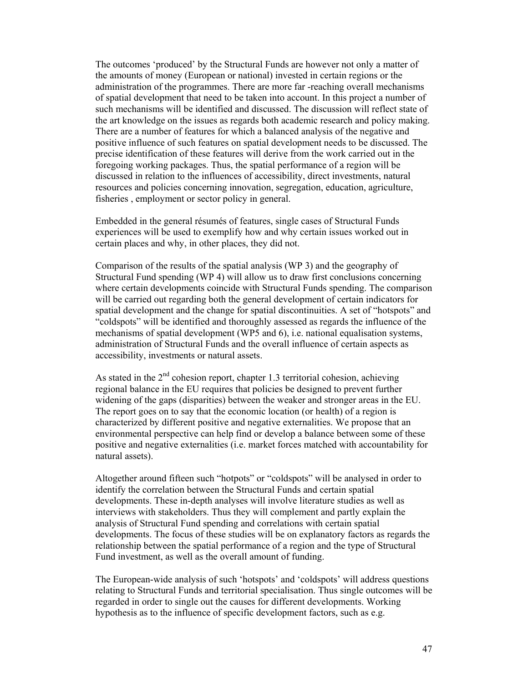The outcomes 'produced' by the Structural Funds are however not only a matter of the amounts of money (European or national) invested in certain regions or the administration of the programmes. There are more far -reaching overall mechanisms of spatial development that need to be taken into account. In this project a number of such mechanisms will be identified and discussed. The discussion will reflect state of the art knowledge on the issues as regards both academic research and policy making. There are a number of features for which a balanced analysis of the negative and positive influence of such features on spatial development needs to be discussed. The precise identification of these features will derive from the work carried out in the foregoing working packages. Thus, the spatial performance of a region will be discussed in relation to the influences of accessibility, direct investments, natural resources and policies concerning innovation, segregation, education, agriculture, fisheries , employment or sector policy in general.

Embedded in the general résumés of features, single cases of Structural Funds experiences will be used to exemplify how and why certain issues worked out in certain places and why, in other places, they did not.

Comparison of the results of the spatial analysis (WP 3) and the geography of Structural Fund spending (WP 4) will allow us to draw first conclusions concerning where certain developments coincide with Structural Funds spending. The comparison will be carried out regarding both the general development of certain indicators for spatial development and the change for spatial discontinuities. A set of "hotspots" and "coldspots" will be identified and thoroughly assessed as regards the influence of the mechanisms of spatial development (WP5 and 6), i.e. national equalisation systems, administration of Structural Funds and the overall influence of certain aspects as accessibility, investments or natural assets.

As stated in the  $2<sup>nd</sup>$  cohesion report, chapter 1.3 territorial cohesion, achieving regional balance in the EU requires that policies be designed to prevent further widening of the gaps (disparities) between the weaker and stronger areas in the EU. The report goes on to say that the economic location (or health) of a region is characterized by different positive and negative externalities. We propose that an environmental perspective can help find or develop a balance between some of these positive and negative externalities (i.e. market forces matched with accountability for natural assets).

Altogether around fifteen such "hotpots" or "coldspots" will be analysed in order to identify the correlation between the Structural Funds and certain spatial developments. These in-depth analyses will involve literature studies as well as interviews with stakeholders. Thus they will complement and partly explain the analysis of Structural Fund spending and correlations with certain spatial developments. The focus of these studies will be on explanatory factors as regards the relationship between the spatial performance of a region and the type of Structural Fund investment, as well as the overall amount of funding.

The European-wide analysis of such 'hotspots' and 'coldspots' will address questions relating to Structural Funds and territorial specialisation. Thus single outcomes will be regarded in order to single out the causes for different developments. Working hypothesis as to the influence of specific development factors, such as e.g.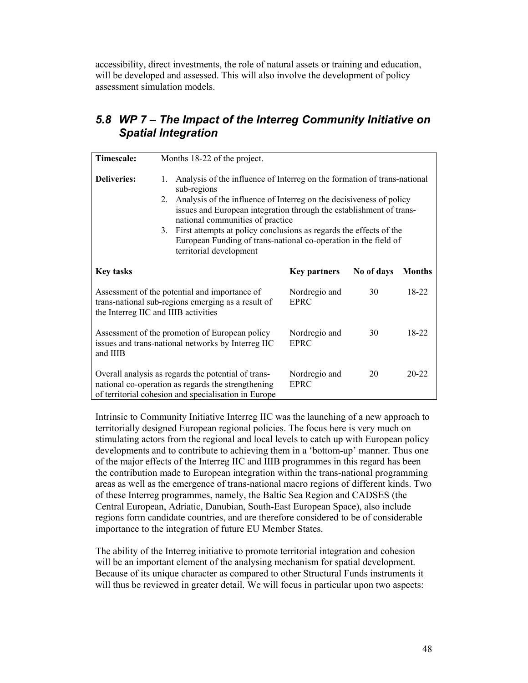accessibility, direct investments, the role of natural assets or training and education, will be developed and assessed. This will also involve the development of policy assessment simulation models.

### *5.8 WP 7 – The Impact of the Interreg Community Initiative on Spatial Integration*

| <b>Timescale:</b>                    | Months 18-22 of the project.                                                                                                                                                                                                                                                                                                                                                                                                                                    |                              |            |               |  |  |  |  |  |  |  |  |  |
|--------------------------------------|-----------------------------------------------------------------------------------------------------------------------------------------------------------------------------------------------------------------------------------------------------------------------------------------------------------------------------------------------------------------------------------------------------------------------------------------------------------------|------------------------------|------------|---------------|--|--|--|--|--|--|--|--|--|
| <b>Deliveries:</b>                   | Analysis of the influence of Interreg on the formation of trans-national<br>1.<br>sub-regions<br>Analysis of the influence of Interreg on the decisiveness of policy<br>2.<br>issues and European integration through the establishment of trans-<br>national communities of practice<br>First attempts at policy conclusions as regards the effects of the<br>3.<br>European Funding of trans-national co-operation in the field of<br>territorial development |                              |            |               |  |  |  |  |  |  |  |  |  |
| <b>Key tasks</b>                     |                                                                                                                                                                                                                                                                                                                                                                                                                                                                 | <b>Key partners</b>          | No of days | <b>Months</b> |  |  |  |  |  |  |  |  |  |
| the Interreg IIC and IIIB activities | Assessment of the potential and importance of<br>trans-national sub-regions emerging as a result of                                                                                                                                                                                                                                                                                                                                                             | Nordregio and<br><b>EPRC</b> | 30         | 18-22         |  |  |  |  |  |  |  |  |  |
| and IIIB                             | Assessment of the promotion of European policy<br>issues and trans-national networks by Interreg IIC                                                                                                                                                                                                                                                                                                                                                            | Nordregio and<br><b>EPRC</b> | 30         | 18-22         |  |  |  |  |  |  |  |  |  |
|                                      | Overall analysis as regards the potential of trans-<br>national co-operation as regards the strengthening<br>of territorial cohesion and specialisation in Europe                                                                                                                                                                                                                                                                                               | Nordregio and<br><b>EPRC</b> | 20         | $20 - 22$     |  |  |  |  |  |  |  |  |  |

Intrinsic to Community Initiative Interreg IIC was the launching of a new approach to territorially designed European regional policies. The focus here is very much on stimulating actors from the regional and local levels to catch up with European policy developments and to contribute to achieving them in a 'bottom-up' manner. Thus one of the major effects of the Interreg IIC and IIIB programmes in this regard has been the contribution made to European integration within the trans-national programming areas as well as the emergence of trans-national macro regions of different kinds. Two of these Interreg programmes, namely, the Baltic Sea Region and CADSES (the Central European, Adriatic, Danubian, South-East European Space), also include regions form candidate countries, and are therefore considered to be of considerable importance to the integration of future EU Member States.

The ability of the Interreg initiative to promote territorial integration and cohesion will be an important element of the analysing mechanism for spatial development. Because of its unique character as compared to other Structural Funds instruments it will thus be reviewed in greater detail. We will focus in particular upon two aspects: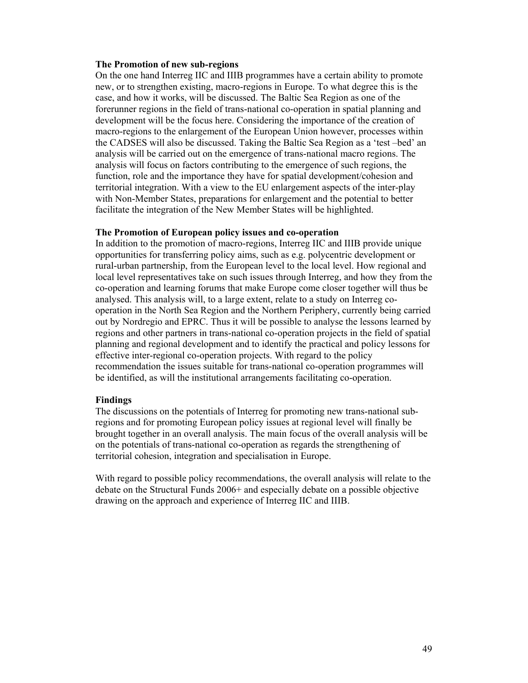#### **The Promotion of new sub-regions**

On the one hand Interreg IIC and IIIB programmes have a certain ability to promote new, or to strengthen existing, macro-regions in Europe. To what degree this is the case, and how it works, will be discussed. The Baltic Sea Region as one of the forerunner regions in the field of trans-national co-operation in spatial planning and development will be the focus here. Considering the importance of the creation of macro-regions to the enlargement of the European Union however, processes within the CADSES will also be discussed. Taking the Baltic Sea Region as a 'test –bed' an analysis will be carried out on the emergence of trans-national macro regions. The analysis will focus on factors contributing to the emergence of such regions, the function, role and the importance they have for spatial development/cohesion and territorial integration. With a view to the EU enlargement aspects of the inter-play with Non-Member States, preparations for enlargement and the potential to better facilitate the integration of the New Member States will be highlighted.

#### **The Promotion of European policy issues and co-operation**

In addition to the promotion of macro-regions, Interreg IIC and IIIB provide unique opportunities for transferring policy aims, such as e.g. polycentric development or rural-urban partnership, from the European level to the local level. How regional and local level representatives take on such issues through Interreg, and how they from the co-operation and learning forums that make Europe come closer together will thus be analysed. This analysis will, to a large extent, relate to a study on Interreg cooperation in the North Sea Region and the Northern Periphery, currently being carried out by Nordregio and EPRC. Thus it will be possible to analyse the lessons learned by regions and other partners in trans-national co-operation projects in the field of spatial planning and regional development and to identify the practical and policy lessons for effective inter-regional co-operation projects. With regard to the policy recommendation the issues suitable for trans-national co-operation programmes will be identified, as will the institutional arrangements facilitating co-operation.

#### **Findings**

The discussions on the potentials of Interreg for promoting new trans-national subregions and for promoting European policy issues at regional level will finally be brought together in an overall analysis. The main focus of the overall analysis will be on the potentials of trans-national co-operation as regards the strengthening of territorial cohesion, integration and specialisation in Europe.

With regard to possible policy recommendations, the overall analysis will relate to the debate on the Structural Funds 2006+ and especially debate on a possible objective drawing on the approach and experience of Interreg IIC and IIIB.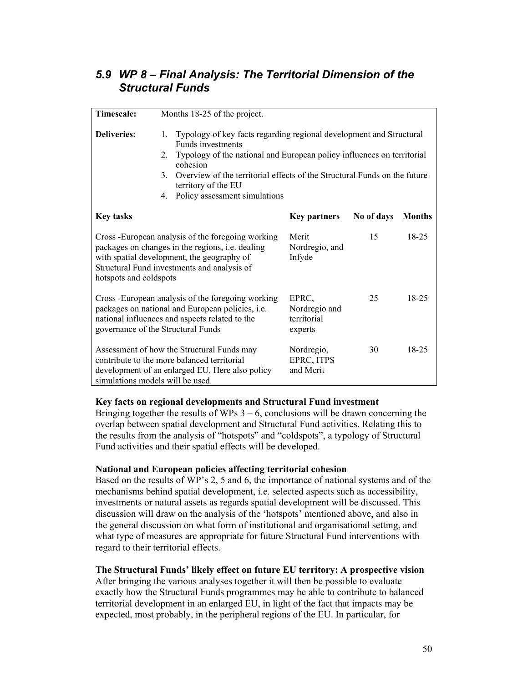## *5.9 WP 8 – Final Analysis: The Territorial Dimension of the Structural Funds*

| <b>Timescale:</b>               | Months 18-25 of the project.                                                                                                                                                                               |                                                                                                                                                                                                                                                             |            |               |  |  |  |  |  |  |  |  |  |
|---------------------------------|------------------------------------------------------------------------------------------------------------------------------------------------------------------------------------------------------------|-------------------------------------------------------------------------------------------------------------------------------------------------------------------------------------------------------------------------------------------------------------|------------|---------------|--|--|--|--|--|--|--|--|--|
| <b>Deliveries:</b>              | 1.<br>Funds investments<br>2.<br>cohesion<br>$\mathcal{E}$<br>territory of the EU<br>4.                                                                                                                    | Typology of key facts regarding regional development and Structural<br>Typology of the national and European policy influences on territorial<br>Overview of the territorial effects of the Structural Funds on the future<br>Policy assessment simulations |            |               |  |  |  |  |  |  |  |  |  |
| <b>Key tasks</b>                |                                                                                                                                                                                                            | <b>Key partners</b>                                                                                                                                                                                                                                         | No of days | <b>Months</b> |  |  |  |  |  |  |  |  |  |
| hotspots and coldspots          | Cross - European analysis of the foregoing working<br>packages on changes in the regions, <i>i.e.</i> dealing<br>with spatial development, the geography of<br>Structural Fund investments and analysis of | Mcrit<br>Nordregio, and<br>Infyde                                                                                                                                                                                                                           | 15         | $18 - 25$     |  |  |  |  |  |  |  |  |  |
|                                 | Cross - European analysis of the foregoing working<br>packages on national and European policies, i.e.<br>national influences and aspects related to the<br>governance of the Structural Funds             | EPRC,<br>Nordregio and<br>territorial<br>experts                                                                                                                                                                                                            | 25         | 18-25         |  |  |  |  |  |  |  |  |  |
| simulations models will be used | Assessment of how the Structural Funds may<br>contribute to the more balanced territorial<br>development of an enlarged EU. Here also policy                                                               | Nordregio,<br>EPRC, ITPS<br>and Merit                                                                                                                                                                                                                       | 30         | 18-25         |  |  |  |  |  |  |  |  |  |

#### **Key facts on regional developments and Structural Fund investment**

Bringing together the results of WPs  $3 - 6$ , conclusions will be drawn concerning the overlap between spatial development and Structural Fund activities. Relating this to the results from the analysis of "hotspots" and "coldspots", a typology of Structural Fund activities and their spatial effects will be developed.

#### **National and European policies affecting territorial cohesion**

Based on the results of WP's 2, 5 and 6, the importance of national systems and of the mechanisms behind spatial development, i.e. selected aspects such as accessibility, investments or natural assets as regards spatial development will be discussed. This discussion will draw on the analysis of the 'hotspots' mentioned above, and also in the general discussion on what form of institutional and organisational setting, and what type of measures are appropriate for future Structural Fund interventions with regard to their territorial effects.

#### **The Structural Funds' likely effect on future EU territory: A prospective vision**

After bringing the various analyses together it will then be possible to evaluate exactly how the Structural Funds programmes may be able to contribute to balanced territorial development in an enlarged EU, in light of the fact that impacts may be expected, most probably, in the peripheral regions of the EU. In particular, for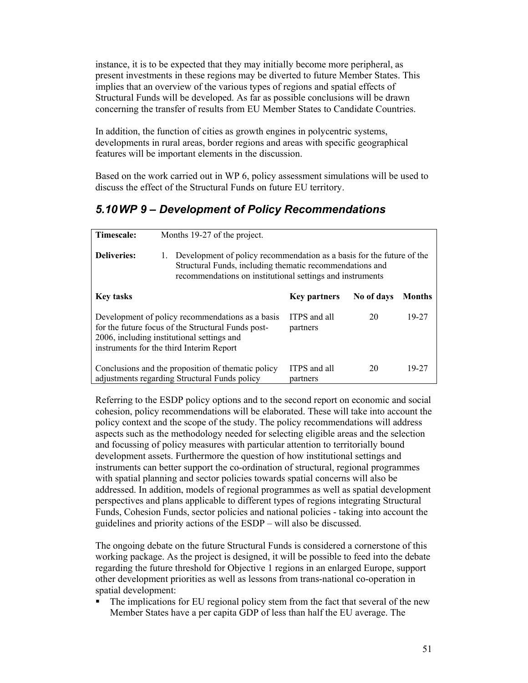instance, it is to be expected that they may initially become more peripheral, as present investments in these regions may be diverted to future Member States. This implies that an overview of the various types of regions and spatial effects of Structural Funds will be developed. As far as possible conclusions will be drawn concerning the transfer of results from EU Member States to Candidate Countries.

In addition, the function of cities as growth engines in polycentric systems, developments in rural areas, border regions and areas with specific geographical features will be important elements in the discussion.

Based on the work carried out in WP 6, policy assessment simulations will be used to discuss the effect of the Structural Funds on future EU territory.

## *5.10 WP 9 – Development of Policy Recommendations*

| Timescale:         | Months 19-27 of the project.                                                                                                                                                                         |                          |            |               |  |  |  |  |  |  |  |  |  |  |
|--------------------|------------------------------------------------------------------------------------------------------------------------------------------------------------------------------------------------------|--------------------------|------------|---------------|--|--|--|--|--|--|--|--|--|--|
| <b>Deliveries:</b> | Development of policy recommendation as a basis for the future of the<br>1.<br>Structural Funds, including thematic recommendations and<br>recommendations on institutional settings and instruments |                          |            |               |  |  |  |  |  |  |  |  |  |  |
| <b>Key tasks</b>   |                                                                                                                                                                                                      | <b>Key partners</b>      | No of days | <b>Months</b> |  |  |  |  |  |  |  |  |  |  |
|                    | Development of policy recommendations as a basis<br>for the future focus of the Structural Funds post-<br>2006, including institutional settings and<br>instruments for the third Interim Report     | ITPS and all<br>partners | 20         | 19-27         |  |  |  |  |  |  |  |  |  |  |
|                    | Conclusions and the proposition of thematic policy<br>adjustments regarding Structural Funds policy                                                                                                  | ITPS and all<br>partners | 20         | 19-27         |  |  |  |  |  |  |  |  |  |  |

Referring to the ESDP policy options and to the second report on economic and social cohesion, policy recommendations will be elaborated. These will take into account the policy context and the scope of the study. The policy recommendations will address aspects such as the methodology needed for selecting eligible areas and the selection and focussing of policy measures with particular attention to territorially bound development assets. Furthermore the question of how institutional settings and instruments can better support the co-ordination of structural, regional programmes with spatial planning and sector policies towards spatial concerns will also be addressed. In addition, models of regional programmes as well as spatial development perspectives and plans applicable to different types of regions integrating Structural Funds, Cohesion Funds, sector policies and national policies - taking into account the guidelines and priority actions of the ESDP – will also be discussed.

The ongoing debate on the future Structural Funds is considered a cornerstone of this working package. As the project is designed, it will be possible to feed into the debate regarding the future threshold for Objective 1 regions in an enlarged Europe, support other development priorities as well as lessons from trans-national co-operation in spatial development:

 The implications for EU regional policy stem from the fact that several of the new Member States have a per capita GDP of less than half the EU average. The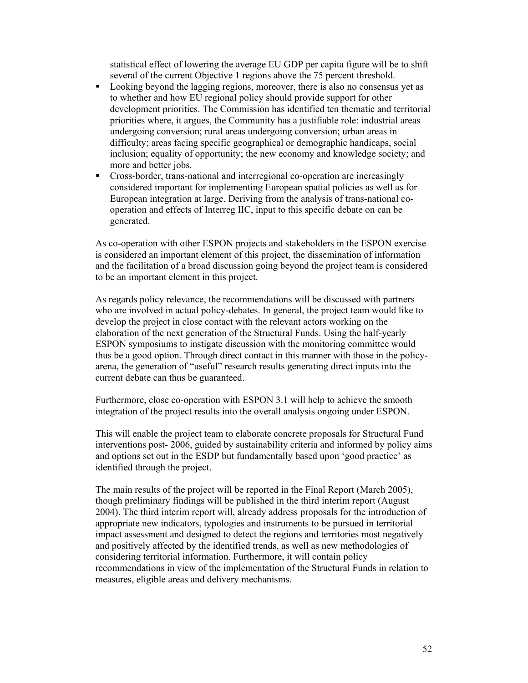statistical effect of lowering the average EU GDP per capita figure will be to shift several of the current Objective 1 regions above the 75 percent threshold.

- Looking beyond the lagging regions, moreover, there is also no consensus yet as to whether and how EU regional policy should provide support for other development priorities. The Commission has identified ten thematic and territorial priorities where, it argues, the Community has a justifiable role: industrial areas undergoing conversion; rural areas undergoing conversion; urban areas in difficulty; areas facing specific geographical or demographic handicaps, social inclusion; equality of opportunity; the new economy and knowledge society; and more and better jobs.
- Cross-border, trans-national and interregional co-operation are increasingly considered important for implementing European spatial policies as well as for European integration at large. Deriving from the analysis of trans-national cooperation and effects of Interreg IIC, input to this specific debate on can be generated.

As co-operation with other ESPON projects and stakeholders in the ESPON exercise is considered an important element of this project, the dissemination of information and the facilitation of a broad discussion going beyond the project team is considered to be an important element in this project.

As regards policy relevance, the recommendations will be discussed with partners who are involved in actual policy-debates. In general, the project team would like to develop the project in close contact with the relevant actors working on the elaboration of the next generation of the Structural Funds. Using the half-yearly ESPON symposiums to instigate discussion with the monitoring committee would thus be a good option. Through direct contact in this manner with those in the policyarena, the generation of "useful" research results generating direct inputs into the current debate can thus be guaranteed.

Furthermore, close co-operation with ESPON 3.1 will help to achieve the smooth integration of the project results into the overall analysis ongoing under ESPON.

This will enable the project team to elaborate concrete proposals for Structural Fund interventions post- 2006, guided by sustainability criteria and informed by policy aims and options set out in the ESDP but fundamentally based upon 'good practice' as identified through the project.

The main results of the project will be reported in the Final Report (March 2005), though preliminary findings will be published in the third interim report (August 2004). The third interim report will, already address proposals for the introduction of appropriate new indicators, typologies and instruments to be pursued in territorial impact assessment and designed to detect the regions and territories most negatively and positively affected by the identified trends, as well as new methodologies of considering territorial information. Furthermore, it will contain policy recommendations in view of the implementation of the Structural Funds in relation to measures, eligible areas and delivery mechanisms.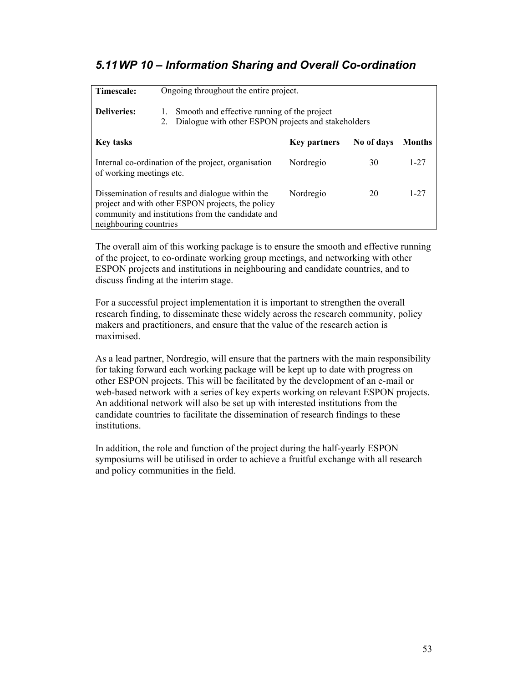## *5.11 WP 10 – Information Sharing and Overall Co-ordination*

| Timescale:               | Ongoing throughout the entire project.                                                                                                                     |                     |            |               |  |  |  |  |  |  |  |  |  |
|--------------------------|------------------------------------------------------------------------------------------------------------------------------------------------------------|---------------------|------------|---------------|--|--|--|--|--|--|--|--|--|
| <b>Deliveries:</b>       | Smooth and effective running of the project<br>1.<br>Dialogue with other ESPON projects and stakeholders<br>2.                                             |                     |            |               |  |  |  |  |  |  |  |  |  |
| <b>Key tasks</b>         |                                                                                                                                                            | <b>Key partners</b> | No of days | <b>Months</b> |  |  |  |  |  |  |  |  |  |
| of working meetings etc. | Internal co-ordination of the project, organisation                                                                                                        | Nordregio           | 30         | $1 - 27$      |  |  |  |  |  |  |  |  |  |
| neighbouring countries   | Dissemination of results and dialogue within the<br>project and with other ESPON projects, the policy<br>community and institutions from the candidate and | Nordregio           | 20         | $1 - 27$      |  |  |  |  |  |  |  |  |  |

The overall aim of this working package is to ensure the smooth and effective running of the project, to co-ordinate working group meetings, and networking with other ESPON projects and institutions in neighbouring and candidate countries, and to discuss finding at the interim stage.

For a successful project implementation it is important to strengthen the overall research finding, to disseminate these widely across the research community, policy makers and practitioners, and ensure that the value of the research action is maximised.

As a lead partner, Nordregio, will ensure that the partners with the main responsibility for taking forward each working package will be kept up to date with progress on other ESPON projects. This will be facilitated by the development of an e-mail or web-based network with a series of key experts working on relevant ESPON projects. An additional network will also be set up with interested institutions from the candidate countries to facilitate the dissemination of research findings to these institutions.

In addition, the role and function of the project during the half-yearly ESPON symposiums will be utilised in order to achieve a fruitful exchange with all research and policy communities in the field.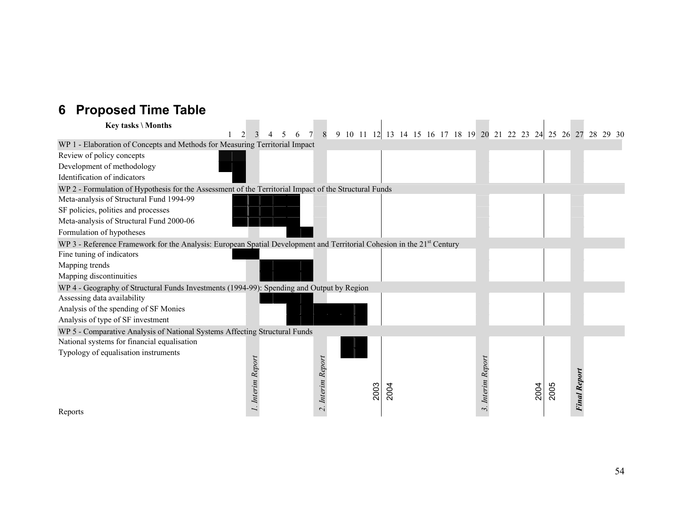# **6 Proposed Time Table**

| Key tasks \ Months                                                                                                                 |                   |  | 6 | 8                 |  | 9 10 11 12 13 14 15 16 17 18 19 20 21 22 23 24 25 26 27 28 29 30 |      |  |  |  |                   |  |      |      |                     |  |  |
|------------------------------------------------------------------------------------------------------------------------------------|-------------------|--|---|-------------------|--|------------------------------------------------------------------|------|--|--|--|-------------------|--|------|------|---------------------|--|--|
| WP 1 - Elaboration of Concepts and Methods for Measuring Territorial Impact                                                        |                   |  |   |                   |  |                                                                  |      |  |  |  |                   |  |      |      |                     |  |  |
| Review of policy concepts                                                                                                          |                   |  |   |                   |  |                                                                  |      |  |  |  |                   |  |      |      |                     |  |  |
| Development of methodology                                                                                                         |                   |  |   |                   |  |                                                                  |      |  |  |  |                   |  |      |      |                     |  |  |
| Identification of indicators                                                                                                       |                   |  |   |                   |  |                                                                  |      |  |  |  |                   |  |      |      |                     |  |  |
| WP 2 - Formulation of Hypothesis for the Assessment of the Territorial Impact of the Structural Funds                              |                   |  |   |                   |  |                                                                  |      |  |  |  |                   |  |      |      |                     |  |  |
| Meta-analysis of Structural Fund 1994-99                                                                                           |                   |  |   |                   |  |                                                                  |      |  |  |  |                   |  |      |      |                     |  |  |
| SF policies, polities and processes                                                                                                |                   |  |   |                   |  |                                                                  |      |  |  |  |                   |  |      |      |                     |  |  |
| Meta-analysis of Structural Fund 2000-06                                                                                           |                   |  |   |                   |  |                                                                  |      |  |  |  |                   |  |      |      |                     |  |  |
| Formulation of hypotheses                                                                                                          |                   |  |   |                   |  |                                                                  |      |  |  |  |                   |  |      |      |                     |  |  |
| WP 3 - Reference Framework for the Analysis: European Spatial Development and Territorial Cohesion in the 21 <sup>st</sup> Century |                   |  |   |                   |  |                                                                  |      |  |  |  |                   |  |      |      |                     |  |  |
| Fine tuning of indicators                                                                                                          |                   |  |   |                   |  |                                                                  |      |  |  |  |                   |  |      |      |                     |  |  |
| Mapping trends                                                                                                                     |                   |  |   |                   |  |                                                                  |      |  |  |  |                   |  |      |      |                     |  |  |
| Mapping discontinuities                                                                                                            |                   |  |   |                   |  |                                                                  |      |  |  |  |                   |  |      |      |                     |  |  |
| WP 4 - Geography of Structural Funds Investments (1994-99): Spending and Output by Region                                          |                   |  |   |                   |  |                                                                  |      |  |  |  |                   |  |      |      |                     |  |  |
| Assessing data availability                                                                                                        |                   |  |   |                   |  |                                                                  |      |  |  |  |                   |  |      |      |                     |  |  |
| Analysis of the spending of SF Monies                                                                                              |                   |  |   |                   |  |                                                                  |      |  |  |  |                   |  |      |      |                     |  |  |
| Analysis of type of SF investment                                                                                                  |                   |  |   |                   |  |                                                                  |      |  |  |  |                   |  |      |      |                     |  |  |
| WP 5 - Comparative Analysis of National Systems Affecting Structural Funds                                                         |                   |  |   |                   |  |                                                                  |      |  |  |  |                   |  |      |      |                     |  |  |
| National systems for financial equalisation                                                                                        |                   |  |   |                   |  |                                                                  |      |  |  |  |                   |  |      |      |                     |  |  |
| Typology of equalisation instruments                                                                                               |                   |  |   |                   |  |                                                                  |      |  |  |  |                   |  |      |      |                     |  |  |
|                                                                                                                                    | 1. Interim Report |  |   | 2. Interim Report |  |                                                                  |      |  |  |  | 3. Interim Report |  |      |      |                     |  |  |
|                                                                                                                                    |                   |  |   |                   |  |                                                                  |      |  |  |  |                   |  |      |      | <b>Final Report</b> |  |  |
|                                                                                                                                    |                   |  |   |                   |  | 2003                                                             | 2004 |  |  |  |                   |  | 2004 | 2005 |                     |  |  |
|                                                                                                                                    |                   |  |   |                   |  |                                                                  |      |  |  |  |                   |  |      |      |                     |  |  |
| Reports                                                                                                                            |                   |  |   |                   |  |                                                                  |      |  |  |  |                   |  |      |      |                     |  |  |